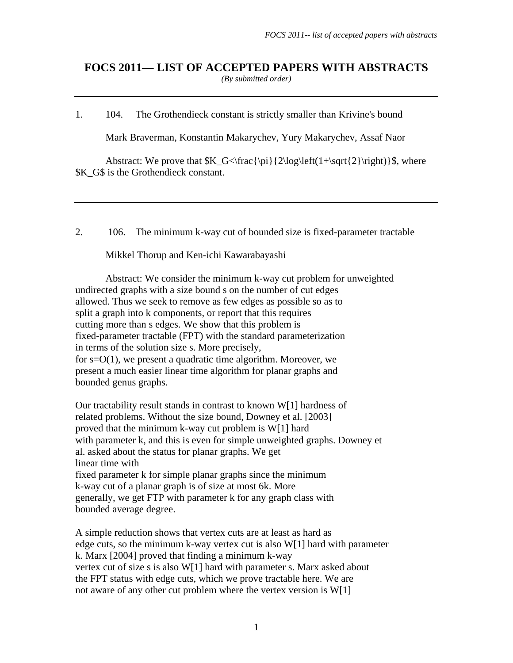# **FOCS 2011— LIST OF ACCEPTED PAPERS WITH ABSTRACTS**  *(By submitted order)*

1. 104. The Grothendieck constant is strictly smaller than Krivine's bound

Mark Braverman, Konstantin Makarychev, Yury Makarychev, Assaf Naor

Abstract: We prove that  $K_G<\frac{\pi}{2\log\left(1+\sqrt{2}\right)}\$ , where **\$K\_G\$** is the Grothendieck constant.

2. 106. The minimum k-way cut of bounded size is fixed-parameter tractable

Mikkel Thorup and Ken-ichi Kawarabayashi

 Abstract: We consider the minimum k-way cut problem for unweighted undirected graphs with a size bound s on the number of cut edges allowed. Thus we seek to remove as few edges as possible so as to split a graph into k components, or report that this requires cutting more than s edges. We show that this problem is fixed-parameter tractable (FPT) with the standard parameterization in terms of the solution size s. More precisely, for s=O(1), we present a quadratic time algorithm. Moreover, we present a much easier linear time algorithm for planar graphs and bounded genus graphs.

Our tractability result stands in contrast to known W[1] hardness of related problems. Without the size bound, Downey et al. [2003] proved that the minimum k-way cut problem is W[1] hard with parameter k, and this is even for simple unweighted graphs. Downey et al. asked about the status for planar graphs. We get linear time with fixed parameter k for simple planar graphs since the minimum k-way cut of a planar graph is of size at most 6k. More generally, we get FTP with parameter k for any graph class with bounded average degree.

A simple reduction shows that vertex cuts are at least as hard as edge cuts, so the minimum k-way vertex cut is also W[1] hard with parameter k. Marx [2004] proved that finding a minimum k-way vertex cut of size s is also W[1] hard with parameter s. Marx asked about the FPT status with edge cuts, which we prove tractable here. We are not aware of any other cut problem where the vertex version is W[1]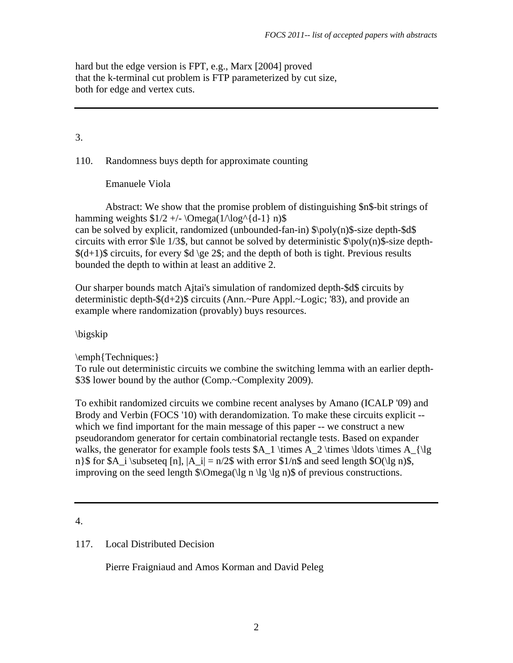hard but the edge version is FPT, e.g., Marx [2004] proved that the k-terminal cut problem is FTP parameterized by cut size, both for edge and vertex cuts.

# 3.

110. Randomness buys depth for approximate counting

Emanuele Viola

 Abstract: We show that the promise problem of distinguishing \$n\$-bit strings of hamming weights  $$1/2 +/- \Omega(1/\log^{4}{d-1}) \ n$ \$ can be solved by explicit, randomized (unbounded-fan-in) \$\poly(n)\$-size depth-\$d\$ circuits with error  $\lvert \cdot \rvert$  1/3\$, but cannot be solved by deterministic  $\lvert \cdot \rvert$  \poly(n)\$-size depth- $$(d+1)$$  circuits, for every \$d \ge 2\$; and the depth of both is tight. Previous results bounded the depth to within at least an additive 2.

Our sharper bounds match Ajtai's simulation of randomized depth-\$d\$ circuits by deterministic depth-\$(d+2)\$ circuits (Ann.~Pure Appl.~Logic; '83), and provide an example where randomization (provably) buys resources.

\bigskip

\emph{Techniques:}

To rule out deterministic circuits we combine the switching lemma with an earlier depth- \$3\$ lower bound by the author (Comp.~Complexity 2009).

To exhibit randomized circuits we combine recent analyses by Amano (ICALP '09) and Brody and Verbin (FOCS '10) with derandomization. To make these circuits explicit - which we find important for the main message of this paper -- we construct a new pseudorandom generator for certain combinatorial rectangle tests. Based on expander walks, the generator for example fools tests  $A_1 \times A_2 \times \ldots$  \times  $A_{\l{lg}}$ n}\$ for \$A\_i \subseteq [n],  $|A|$  i| = n/2\$ with error \$1/n\$ and seed length \$O(\lg n)\$, improving on the seed length  $\Omega(\lg n \lg \lg n)$  of previous constructions.

4.

# 117. Local Distributed Decision

Pierre Fraigniaud and Amos Korman and David Peleg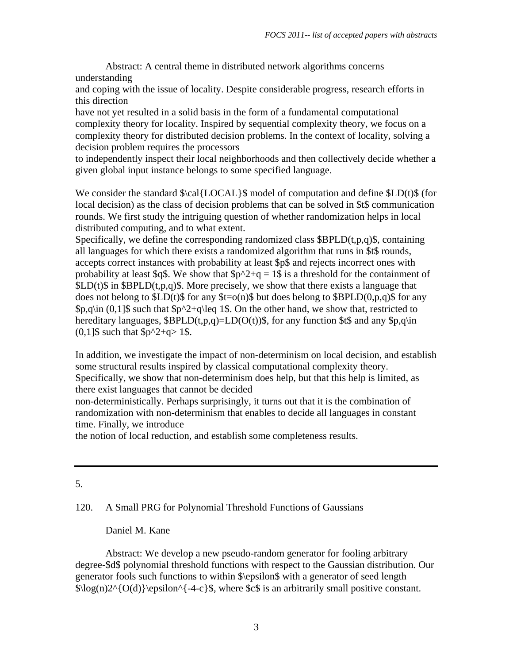Abstract: A central theme in distributed network algorithms concerns understanding

and coping with the issue of locality. Despite considerable progress, research efforts in this direction

have not yet resulted in a solid basis in the form of a fundamental computational complexity theory for locality. Inspired by sequential complexity theory, we focus on a complexity theory for distributed decision problems. In the context of locality, solving a decision problem requires the processors

to independently inspect their local neighborhoods and then collectively decide whether a given global input instance belongs to some specified language.

We consider the standard  $\cal{LOCAL}$  model of computation and define  $\cal{LDCAL}$  (for local decision) as the class of decision problems that can be solved in \$t\$ communication rounds. We first study the intriguing question of whether randomization helps in local distributed computing, and to what extent.

Specifically, we define the corresponding randomized class  $\beta$ BPLD(t,p,q) $\beta$ , containing all languages for which there exists a randomized algorithm that runs in \$t\$ rounds, accepts correct instances with probability at least \$p\$ and rejects incorrect ones with probability at least \$q\$. We show that  $\wp^2+q = 1\$ \$ is a threshold for the containment of  $SLD(t)$  in  $SBPLD(t,p,q)$ . More precisely, we show that there exists a language that does not belong to  $SLD(t)$ \$ for any  $t = o(n)$ \$ but does belong to  $SBPLD(0,p,q)$ \$ for any  $\phi_1$  (0,1] such that  $\phi_2$ +q\leq 1\$. On the other hand, we show that, restricted to hereditary languages,  $\beta$ BPLD(t,p,q)=LD(O(t)) $\beta$ , for any function  $\beta$ t $\beta$  and any  $\beta$ p,q\in  $(0,1]$ \$ such that \$p^2+q> 1\$.

In addition, we investigate the impact of non-determinism on local decision, and establish some structural results inspired by classical computational complexity theory. Specifically, we show that non-determinism does help, but that this help is limited, as there exist languages that cannot be decided

non-deterministically. Perhaps surprisingly, it turns out that it is the combination of randomization with non-determinism that enables to decide all languages in constant time. Finally, we introduce

the notion of local reduction, and establish some completeness results.

## 5.

# 120. A Small PRG for Polynomial Threshold Functions of Gaussians

## Daniel M. Kane

 Abstract: We develop a new pseudo-random generator for fooling arbitrary degree-\$d\$ polynomial threshold functions with respect to the Gaussian distribution. Our generator fools such functions to within \$\epsilon\$ with a generator of seed length  $\log(n)2^{O(d)}\epsilon^{-4-c}\$ , where  $\epsilon$  is an arbitrarily small positive constant.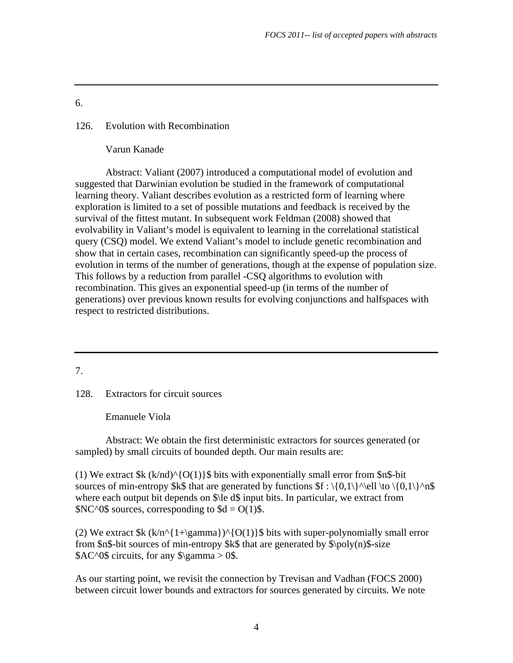## 126. Evolution with Recombination

Varun Kanade

 Abstract: Valiant (2007) introduced a computational model of evolution and suggested that Darwinian evolution be studied in the framework of computational learning theory. Valiant describes evolution as a restricted form of learning where exploration is limited to a set of possible mutations and feedback is received by the survival of the fittest mutant. In subsequent work Feldman (2008) showed that evolvability in Valiant's model is equivalent to learning in the correlational statistical query (CSQ) model. We extend Valiant's model to include genetic recombination and show that in certain cases, recombination can significantly speed-up the process of evolution in terms of the number of generations, though at the expense of population size. This follows by a reduction from parallel -CSQ algorithms to evolution with recombination. This gives an exponential speed-up (in terms of the number of generations) over previous known results for evolving conjunctions and halfspaces with respect to restricted distributions.

7.

128. Extractors for circuit sources

Emanuele Viola

 Abstract: We obtain the first deterministic extractors for sources generated (or sampled) by small circuits of bounded depth. Our main results are:

(1) We extract  $k$  (k/nd)^{O(1)}\$ bits with exponentially small error from  $\text{Sn\&-bit}$ sources of min-entropy \$k\$ that are generated by functions  $f : \{0,1\}^\wedge e \in \{0,1\}^\wedge n$ \$ where each output bit depends on \$\le d\$ input bits. In particular, we extract from  $N<sup>0</sup>$ \$ sources, corresponding to \$d = O(1)\$.

(2) We extract  $k$  (k/n^{1+\gamma})^{O(1)}\$ bits with super-polynomially small error from  $\text{\$n$-bit sources of min-entropy}$  \that are generated by  $\pmb{\rightarrow}$  \poly(n)\s -size  $A<sup>0</sup>$  circuits, for any  $\gamma > 0$ \$.

As our starting point, we revisit the connection by Trevisan and Vadhan (FOCS 2000) between circuit lower bounds and extractors for sources generated by circuits. We note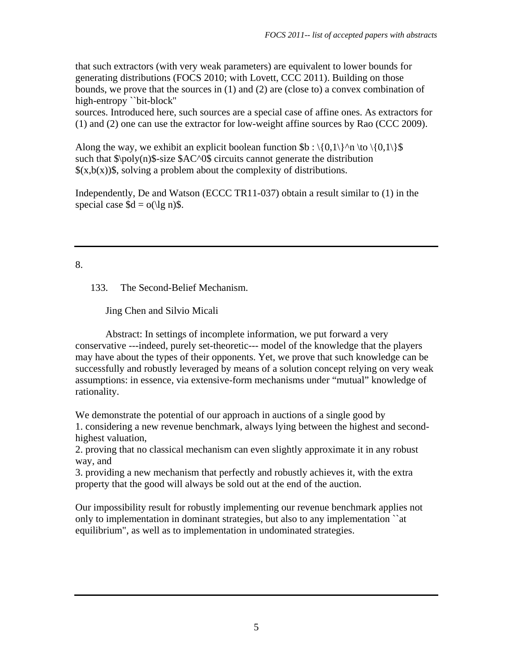that such extractors (with very weak parameters) are equivalent to lower bounds for generating distributions (FOCS 2010; with Lovett, CCC 2011). Building on those bounds, we prove that the sources in (1) and (2) are (close to) a convex combination of high-entropy ``bit-block''

sources. Introduced here, such sources are a special case of affine ones. As extractors for (1) and (2) one can use the extractor for low-weight affine sources by Rao (CCC 2009).

Along the way, we exhibit an explicit boolean function  $b : \{0,1\}^n \to \{0,1\}$ such that  $\pmb{\infty}$  \poly(n)\$-size \$AC^0\$ circuits cannot generate the distribution  $(x,b(x))$ , solving a problem about the complexity of distributions.

Independently, De and Watson (ECCC TR11-037) obtain a result similar to (1) in the special case  $d = o(\lg n)$ .

# 8.

133. The Second-Belief Mechanism.

Jing Chen and Silvio Micali

 Abstract: In settings of incomplete information, we put forward a very conservative ---indeed, purely set-theoretic--- model of the knowledge that the players may have about the types of their opponents. Yet, we prove that such knowledge can be successfully and robustly leveraged by means of a solution concept relying on very weak assumptions: in essence, via extensive-form mechanisms under "mutual" knowledge of rationality.

We demonstrate the potential of our approach in auctions of a single good by 1. considering a new revenue benchmark, always lying between the highest and secondhighest valuation,

2. proving that no classical mechanism can even slightly approximate it in any robust way, and

3. providing a new mechanism that perfectly and robustly achieves it, with the extra property that the good will always be sold out at the end of the auction.

Our impossibility result for robustly implementing our revenue benchmark applies not only to implementation in dominant strategies, but also to any implementation ``at equilibrium", as well as to implementation in undominated strategies.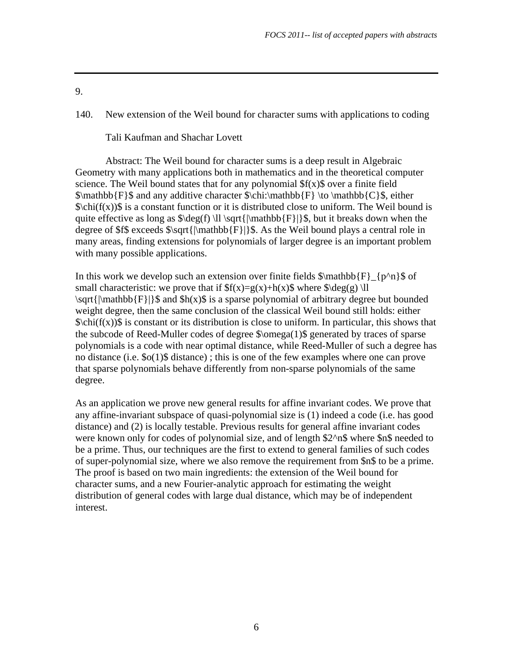140. New extension of the Weil bound for character sums with applications to coding

Tali Kaufman and Shachar Lovett

 Abstract: The Weil bound for character sums is a deep result in Algebraic Geometry with many applications both in mathematics and in the theoretical computer science. The Weil bound states that for any polynomial  $f(x)$  over a finite field  $\mathbf{F}\$  and any additive character  $\chi\bar{b}_{F} \to \mathbf{C}\$ , either  $\chi\chi\chi(f(x))\$  is a constant function or it is distributed close to uniform. The Weil bound is quite effective as long as  $\deg(f) \ll \sqrt{\mathrm{|\mathbb{F}|}\}\$ , but it breaks down when the degree of \$f\$ exceeds  $\sqrt{\|\mathbb{F}\|}\$ . As the Weil bound plays a central role in many areas, finding extensions for polynomials of larger degree is an important problem with many possible applications.

In this work we develop such an extension over finite fields  $\mathbb{F}_{p^n}\$  of small characteristic: we prove that if  $f(x)=g(x)+h(x)$  where  $\deg(g) \llbracket$  $\sqrt{\mathrm{Nant}}[F]]\$  and  $\mathrm{S}_0$  is a sparse polynomial of arbitrary degree but bounded weight degree, then the same conclusion of the classical Weil bound still holds: either \$\chi(f(x))\$ is constant or its distribution is close to uniform. In particular, this shows that the subcode of Reed-Muller codes of degree \$\omega(1)\$ generated by traces of sparse polynomials is a code with near optimal distance, while Reed-Muller of such a degree has no distance (i.e. \$o(1)\$ distance) ; this is one of the few examples where one can prove that sparse polynomials behave differently from non-sparse polynomials of the same degree.

As an application we prove new general results for affine invariant codes. We prove that any affine-invariant subspace of quasi-polynomial size is (1) indeed a code (i.e. has good distance) and (2) is locally testable. Previous results for general affine invariant codes were known only for codes of polynomial size, and of length \$2^n\$ where \$n\$ needed to be a prime. Thus, our techniques are the first to extend to general families of such codes of super-polynomial size, where we also remove the requirement from \$n\$ to be a prime. The proof is based on two main ingredients: the extension of the Weil bound for character sums, and a new Fourier-analytic approach for estimating the weight distribution of general codes with large dual distance, which may be of independent interest.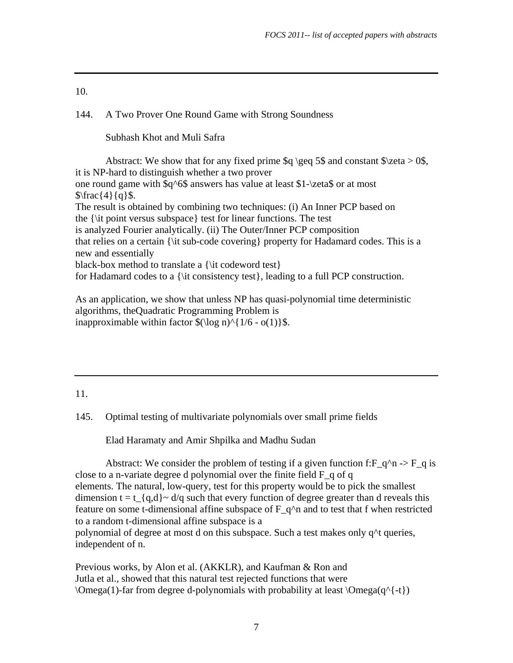## 144. A Two Prover One Round Game with Strong Soundness

Subhash Khot and Muli Safra

Abstract: We show that for any fixed prime  $\qquad \geq \geq 5$  and constant  $\zeta \geq 0$ , it is NP-hard to distinguish whether a two prover one round game with \$q^6\$ answers has value at least \$1-\zeta\$ or at most  $\frac{4}{q}\$ . The result is obtained by combining two techniques: (i) An Inner PCP based on the {\it point versus subspace} test for linear functions. The test is analyzed Fourier analytically. (ii) The Outer/Inner PCP composition that relies on a certain {\it sub-code covering} property for Hadamard codes. This is a new and essentially black-box method to translate a {\it codeword test} for Hadamard codes to a {\it consistency test}, leading to a full PCP construction.

As an application, we show that unless NP has quasi-polynomial time deterministic algorithms, theQuadratic Programming Problem is inapproximable within factor  $\(\log n)^{1/6 - o(1)}\$ .

#### 11.

145. Optimal testing of multivariate polynomials over small prime fields

Elad Haramaty and Amir Shpilka and Madhu Sudan

Abstract: We consider the problem of testing if a given function f:  $F_q^n \rightarrow F_q$  is close to a n-variate degree d polynomial over the finite field  $F_q$  of q elements. The natural, low-query, test for this property would be to pick the smallest dimension t = t  $\{q,d\}$  ~ d/q such that every function of degree greater than d reveals this feature on some t-dimensional affine subspace of  $F_q^n$  and to test that f when restricted to a random t-dimensional affine subspace is a polynomial of degree at most d on this subspace. Such a test makes only q^t queries, independent of n.

Previous works, by Alon et al. (AKKLR), and Kaufman & Ron and Jutla et al., showed that this natural test rejected functions that were  $\Omega$  \Omega(1)-far from degree d-polynomials with probability at least  $\Omega$ <sup>{-t}</sup>)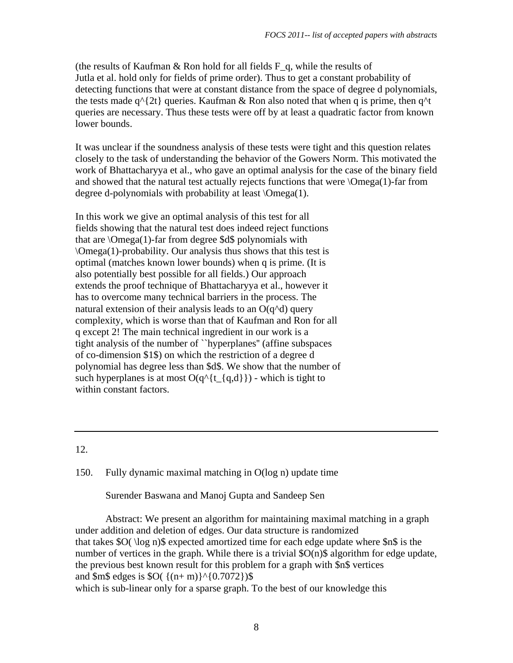(the results of Kaufman & Ron hold for all fields  $F_q$ , while the results of Jutla et al. hold only for fields of prime order). Thus to get a constant probability of detecting functions that were at constant distance from the space of degree d polynomials, the tests made  $q^{\prime}$ {2t} queries. Kaufman & Ron also noted that when q is prime, then  $q^{\prime}$ t queries are necessary. Thus these tests were off by at least a quadratic factor from known lower bounds.

It was unclear if the soundness analysis of these tests were tight and this question relates closely to the task of understanding the behavior of the Gowers Norm. This motivated the work of Bhattacharyya et al., who gave an optimal analysis for the case of the binary field and showed that the natural test actually rejects functions that were \Omega(1)-far from degree d-polynomials with probability at least \Omega(1).

In this work we give an optimal analysis of this test for all fields showing that the natural test does indeed reject functions that are  $\Omega(1)$ -far from degree \$d\$ polynomials with \Omega(1)-probability. Our analysis thus shows that this test is optimal (matches known lower bounds) when q is prime. (It is also potentially best possible for all fields.) Our approach extends the proof technique of Bhattacharyya et al., however it has to overcome many technical barriers in the process. The natural extension of their analysis leads to an  $O(q^{\land}d)$  query complexity, which is worse than that of Kaufman and Ron for all q except 2! The main technical ingredient in our work is a tight analysis of the number of ``hyperplanes'' (affine subspaces of co-dimension \$1\$) on which the restriction of a degree d polynomial has degree less than \$d\$. We show that the number of such hyperplanes is at most  $O(q^{\lambda} \{t_{\alpha},d\})$  - which is tight to within constant factors.

## 12.

#### 150. Fully dynamic maximal matching in O(log n) update time

Surender Baswana and Manoj Gupta and Sandeep Sen

 Abstract: We present an algorithm for maintaining maximal matching in a graph under addition and deletion of edges. Our data structure is randomized that takes \$O( \log n)\$ expected amortized time for each edge update where \$n\$ is the number of vertices in the graph. While there is a trivial \$O(n)\$ algorithm for edge update, the previous best known result for this problem for a graph with \$n\$ vertices and  $\text{Sm\$ edges is } $O( \{(n+m)\}^{\wedge} \{0.7072\})$ which is sub-linear only for a sparse graph. To the best of our knowledge this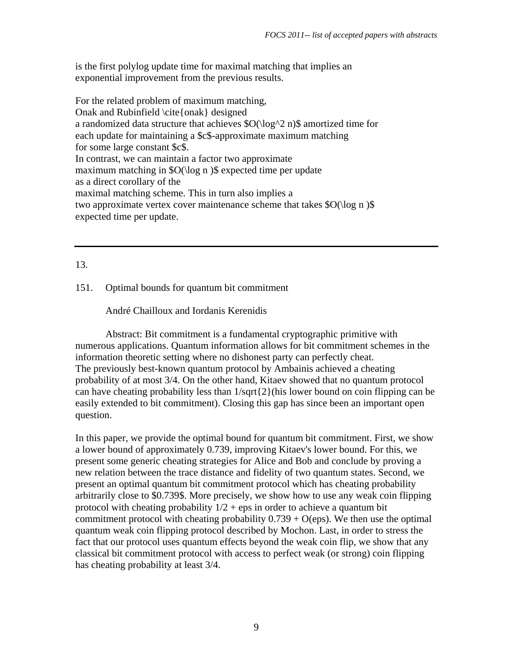is the first polylog update time for maximal matching that implies an exponential improvement from the previous results.

For the related problem of maximum matching, Onak and Rubinfield \cite{onak} designed a randomized data structure that achieves \$O(\log^2 n)\$ amortized time for each update for maintaining a \$c\$-approximate maximum matching for some large constant \$c\$. In contrast, we can maintain a factor two approximate maximum matching in \$O(\log n )\$ expected time per update as a direct corollary of the maximal matching scheme. This in turn also implies a two approximate vertex cover maintenance scheme that takes  $\sqrt{O(\log n)}$ expected time per update.

## 13.

## 151. Optimal bounds for quantum bit commitment

## André Chailloux and Iordanis Kerenidis

 Abstract: Bit commitment is a fundamental cryptographic primitive with numerous applications. Quantum information allows for bit commitment schemes in the information theoretic setting where no dishonest party can perfectly cheat. The previously best-known quantum protocol by Ambainis achieved a cheating probability of at most 3/4. On the other hand, Kitaev showed that no quantum protocol can have cheating probability less than 1/sqrt{2}(his lower bound on coin flipping can be easily extended to bit commitment). Closing this gap has since been an important open question.

In this paper, we provide the optimal bound for quantum bit commitment. First, we show a lower bound of approximately 0.739, improving Kitaev's lower bound. For this, we present some generic cheating strategies for Alice and Bob and conclude by proving a new relation between the trace distance and fidelity of two quantum states. Second, we present an optimal quantum bit commitment protocol which has cheating probability arbitrarily close to \$0.739\$. More precisely, we show how to use any weak coin flipping protocol with cheating probability  $1/2$  + eps in order to achieve a quantum bit commitment protocol with cheating probability  $0.739 + O(\text{eps})$ . We then use the optimal quantum weak coin flipping protocol described by Mochon. Last, in order to stress the fact that our protocol uses quantum effects beyond the weak coin flip, we show that any classical bit commitment protocol with access to perfect weak (or strong) coin flipping has cheating probability at least 3/4.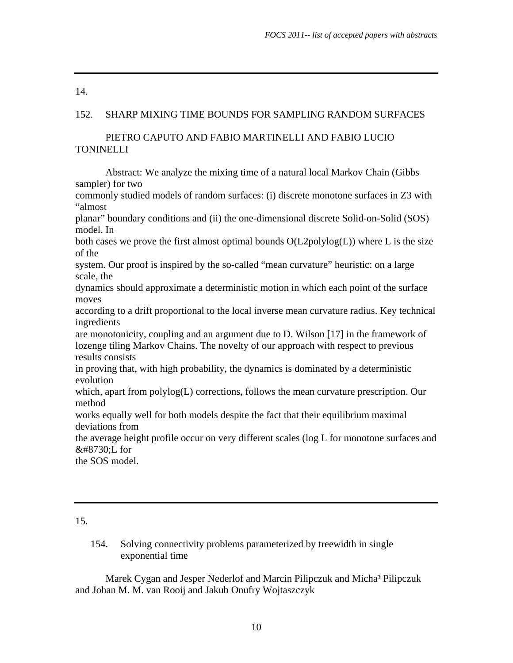### 152. SHARP MIXING TIME BOUNDS FOR SAMPLING RANDOM SURFACES

### PIETRO CAPUTO AND FABIO MARTINELLI AND FABIO LUCIO TONINELLI

 Abstract: We analyze the mixing time of a natural local Markov Chain (Gibbs sampler) for two

commonly studied models of random surfaces: (i) discrete monotone surfaces in Z3 with "almost

planar" boundary conditions and (ii) the one-dimensional discrete Solid-on-Solid (SOS) model. In

both cases we prove the first almost optimal bounds  $O(L2polylog(L))$  where L is the size of the

system. Our proof is inspired by the so-called "mean curvature" heuristic: on a large scale, the

dynamics should approximate a deterministic motion in which each point of the surface moves

according to a drift proportional to the local inverse mean curvature radius. Key technical ingredients

are monotonicity, coupling and an argument due to D. Wilson [17] in the framework of lozenge tiling Markov Chains. The novelty of our approach with respect to previous results consists

in proving that, with high probability, the dynamics is dominated by a deterministic evolution

which, apart from polylog(L) corrections, follows the mean curvature prescription. Our method

works equally well for both models despite the fact that their equilibrium maximal deviations from

the average height profile occur on very different scales (log L for monotone surfaces and √L for

the SOS model.

## 15.

154. Solving connectivity problems parameterized by treewidth in single exponential time

Marek Cygan and Jesper Nederlof and Marcin Pilipczuk and Micha<sup>3</sup> Pilipczuk and Johan M. M. van Rooij and Jakub Onufry Wojtaszczyk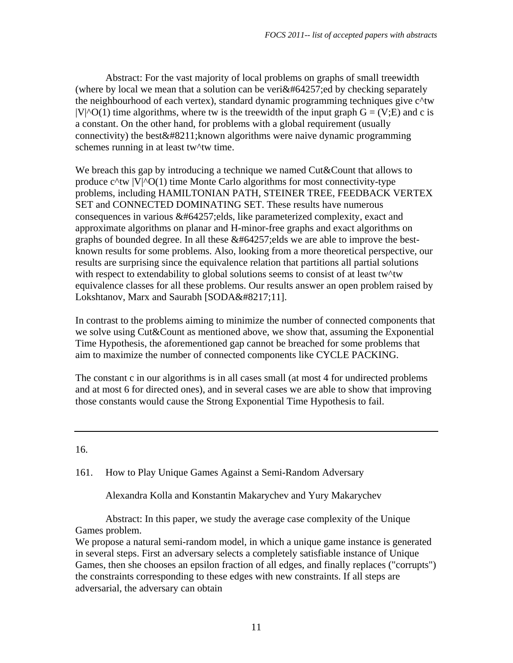Abstract: For the vast majority of local problems on graphs of small treewidth (where by local we mean that a solution can be veri $\&\#64257$ ; ed by checking separately the neighbourhood of each vertex), standard dynamic programming techniques give c^tw  $|V|$ <sup>^</sup>O(1) time algorithms, where tw is the treewidth of the input graph  $G = (V;E)$  and c is a constant. On the other hand, for problems with a global requirement (usually connectivity) the best  $&\#8211;$  known algorithms were naive dynamic programming schemes running in at least tw<sup>\*</sup>tw time.

We breach this gap by introducing a technique we named Cut&Count that allows to produce  $c^{\text{Atw}}$   $|V|$ <sup> $\text{O}(1)$ </sup> time Monte Carlo algorithms for most connectivity-type problems, including HAMILTONIAN PATH, STEINER TREE, FEEDBACK VERTEX SET and CONNECTED DOMINATING SET. These results have numerous consequences in various  $&\#64257$ ; elds, like parameterized complexity, exact and approximate algorithms on planar and H-minor-free graphs and exact algorithms on graphs of bounded degree. In all these  $&\#64257$ ; elds we are able to improve the bestknown results for some problems. Also, looking from a more theoretical perspective, our results are surprising since the equivalence relation that partitions all partial solutions with respect to extendability to global solutions seems to consist of at least tw^tw equivalence classes for all these problems. Our results answer an open problem raised by Lokshtanov, Marx and Saurabh [SODA'11].

In contrast to the problems aiming to minimize the number of connected components that we solve using Cut&Count as mentioned above, we show that, assuming the Exponential Time Hypothesis, the aforementioned gap cannot be breached for some problems that aim to maximize the number of connected components like CYCLE PACKING.

The constant c in our algorithms is in all cases small (at most 4 for undirected problems and at most 6 for directed ones), and in several cases we are able to show that improving those constants would cause the Strong Exponential Time Hypothesis to fail.

16.

161. How to Play Unique Games Against a Semi-Random Adversary

Alexandra Kolla and Konstantin Makarychev and Yury Makarychev

 Abstract: In this paper, we study the average case complexity of the Unique Games problem.

We propose a natural semi-random model, in which a unique game instance is generated in several steps. First an adversary selects a completely satisfiable instance of Unique Games, then she chooses an epsilon fraction of all edges, and finally replaces ("corrupts") the constraints corresponding to these edges with new constraints. If all steps are adversarial, the adversary can obtain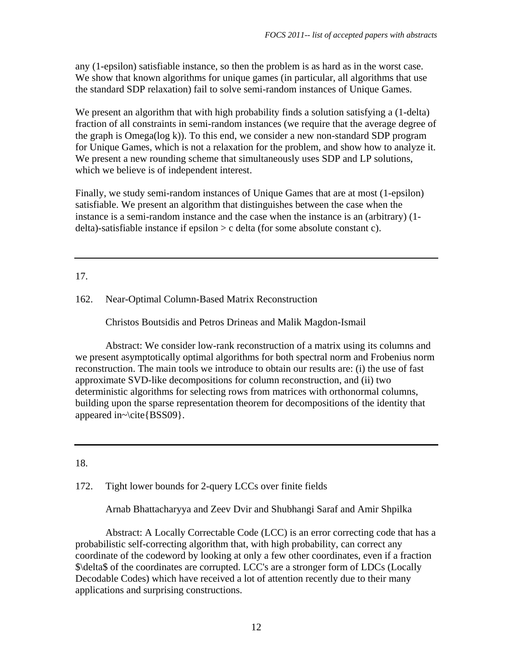any (1-epsilon) satisfiable instance, so then the problem is as hard as in the worst case. We show that known algorithms for unique games (in particular, all algorithms that use the standard SDP relaxation) fail to solve semi-random instances of Unique Games.

We present an algorithm that with high probability finds a solution satisfying a (1-delta) fraction of all constraints in semi-random instances (we require that the average degree of the graph is Omega(log k)). To this end, we consider a new non-standard SDP program for Unique Games, which is not a relaxation for the problem, and show how to analyze it. We present a new rounding scheme that simultaneously uses SDP and LP solutions, which we believe is of independent interest.

Finally, we study semi-random instances of Unique Games that are at most (1-epsilon) satisfiable. We present an algorithm that distinguishes between the case when the instance is a semi-random instance and the case when the instance is an (arbitrary) (1 delta)-satisfiable instance if epsilon > c delta (for some absolute constant c).

## 17.

## 162. Near-Optimal Column-Based Matrix Reconstruction

Christos Boutsidis and Petros Drineas and Malik Magdon-Ismail

 Abstract: We consider low-rank reconstruction of a matrix using its columns and we present asymptotically optimal algorithms for both spectral norm and Frobenius norm reconstruction. The main tools we introduce to obtain our results are: (i) the use of fast approximate SVD-like decompositions for column reconstruction, and (ii) two deterministic algorithms for selecting rows from matrices with orthonormal columns, building upon the sparse representation theorem for decompositions of the identity that appeared in~\cite{BSS09}.

#### 18.

172. Tight lower bounds for 2-query LCCs over finite fields

Arnab Bhattacharyya and Zeev Dvir and Shubhangi Saraf and Amir Shpilka

 Abstract: A Locally Correctable Code (LCC) is an error correcting code that has a probabilistic self-correcting algorithm that, with high probability, can correct any coordinate of the codeword by looking at only a few other coordinates, even if a fraction \$\delta\$ of the coordinates are corrupted. LCC's are a stronger form of LDCs (Locally Decodable Codes) which have received a lot of attention recently due to their many applications and surprising constructions.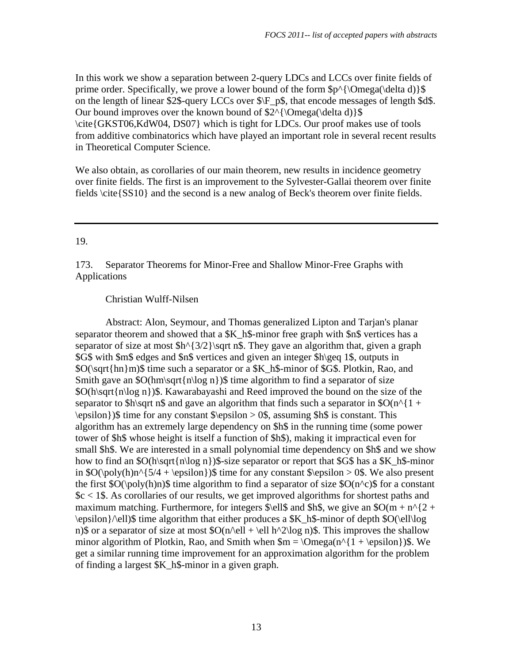In this work we show a separation between 2-query LDCs and LCCs over finite fields of prime order. Specifically, we prove a lower bound of the form  $p^{\Omega}$  (\Omega(\delta d) \\$ on the length of linear \$2\$-query LCCs over \$\F\_p\$, that encode messages of length \$d\$. Our bound improves over the known bound of  $2^{\wedge}$  \Omega(\delta d) \\$ \cite{GKST06,KdW04, DS07} which is tight for LDCs. Our proof makes use of tools from additive combinatorics which have played an important role in several recent results in Theoretical Computer Science.

We also obtain, as corollaries of our main theorem, new results in incidence geometry over finite fields. The first is an improvement to the Sylvester-Gallai theorem over finite fields \cite{SS10} and the second is a new analog of Beck's theorem over finite fields.

## 19.

173. Separator Theorems for Minor-Free and Shallow Minor-Free Graphs with Applications

## Christian Wulff-Nilsen

 Abstract: Alon, Seymour, and Thomas generalized Lipton and Tarjan's planar separator theorem and showed that a \$K\_h\$-minor free graph with \$n\$ vertices has a separator of size at most  $h^{3/2}\sqrt{3}$ , They gave an algorithm that, given a graph \$G\$ with \$m\$ edges and \$n\$ vertices and given an integer \$h\geq 1\$, outputs in \$O(\sqrt{hn}m)\$ time such a separator or a \$K\_h\$-minor of \$G\$. Plotkin, Rao, and Smith gave an  $\mathcal{S}O(hm\sqrt{\sqrt{n}}\log n)$  time algorithm to find a separator of size \$O(h\sqrt{n\log n})\$. Kawarabayashi and Reed improved the bound on the size of the separator to \$h\sqrt n\$ and gave an algorithm that finds such a separator in  $O(n^{1 + \epsilon})$  $\epsilon$ )\epsilon})\$ time for any constant  $\epsilon > 0$ \$, assuming \$h\$ is constant. This algorithm has an extremely large dependency on \$h\$ in the running time (some power tower of \$h\$ whose height is itself a function of \$h\$), making it impractical even for small \$h\$. We are interested in a small polynomial time dependency on \$h\$ and we show how to find an  $\text{SO(h\sqrt{n\log n})}\$ -size separator or report that SG\$ has a \$K\_h\$-minor in  $\O(\text{poly}(h)n^{5/4} + \epsilon)$ )\$ time for any constant \$\epsilon > 0\$. We also present the first  $\mathcal{S}O(\text{poly}(h)n)\mathcal{S}$  time algorithm to find a separator of size  $\mathcal{S}O(n^2)\mathcal{S}$  for a constant  $\&c$  < 1\$. As corollaries of our results, we get improved algorithms for shortest paths and maximum matching. Furthermore, for integers  $\ell s$  and \$h\$, we give an  $\delta O(m + n^2 +$ \epsilon}/\ell)\$ time algorithm that either produces a \$K\_h\$-minor of depth \$O(\ell\log n)\$ or a separator of size at most  $O(n\ell + \ell \ell + \ell \log n)$ . This improves the shallow minor algorithm of Plotkin, Rao, and Smith when  $\Im m = \Omega(n^{\{1 + \epsilon}\)}$ . We get a similar running time improvement for an approximation algorithm for the problem of finding a largest \$K\_h\$-minor in a given graph.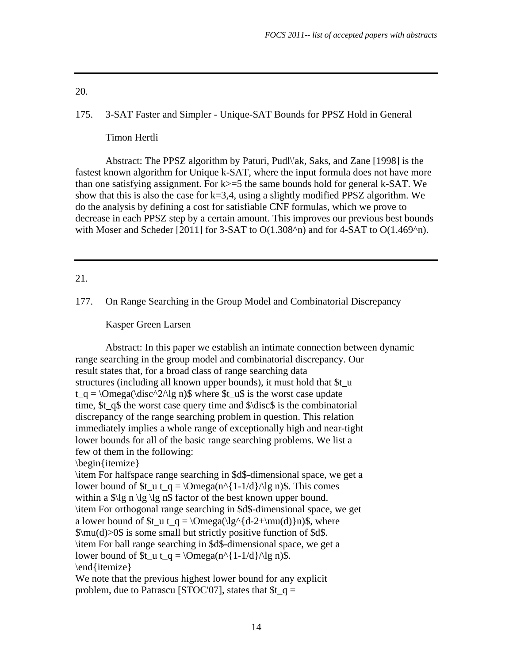#### 175. 3-SAT Faster and Simpler - Unique-SAT Bounds for PPSZ Hold in General

Timon Hertli

 Abstract: The PPSZ algorithm by Paturi, Pudl\'ak, Saks, and Zane [1998] is the fastest known algorithm for Unique k-SAT, where the input formula does not have more than one satisfying assignment. For  $k \geq 5$  the same bounds hold for general k-SAT. We show that this is also the case for  $k=3,4$ , using a slightly modified PPSZ algorithm. We do the analysis by defining a cost for satisfiable CNF formulas, which we prove to decrease in each PPSZ step by a certain amount. This improves our previous best bounds with Moser and Scheder [2011] for 3-SAT to  $O(1.308<sup>2</sup>)$  and for 4-SAT to  $O(1.469<sup>2</sup>)$ .

#### 21.

177. On Range Searching in the Group Model and Combinatorial Discrepancy

Kasper Green Larsen

 Abstract: In this paper we establish an intimate connection between dynamic range searching in the group model and combinatorial discrepancy. Our result states that, for a broad class of range searching data structures (including all known upper bounds), it must hold that  $t_u$  $t_q = \Omega(\dsc^2/q)$  is where  $t_q$  is the worst case update time,  $t$  q\$ the worst case query time and  $\dots$  is the combinatorial discrepancy of the range searching problem in question. This relation immediately implies a whole range of exceptionally high and near-tight lower bounds for all of the basic range searching problems. We list a few of them in the following: \begin{itemize} \item For halfspace range searching in \$d\$-dimensional space, we get a lower bound of  $t_u t_q = \Omega(n^{\{1-1/d\}})\$ . This comes within a  $\lvert \lg n \lg \lg n \rvert$  factor of the best known upper bound. \item For orthogonal range searching in \$d\$-dimensional space, we get

a lower bound of \$t\_u t\_q =  $\Omega(\le^4d-2+\mu(d))\n$ , where  $\mu(d) > 0$  is some small but strictly positive function of \$d\$.

\item For ball range searching in \$d\$-dimensional space, we get a

lower bound of  $t_u t_q = \Omega(n^{\{1-1/d\}})/\log n$ .

\end{itemize}

We note that the previous highest lower bound for any explicit problem, due to Patrascu [STOC'07], states that  $t_q =$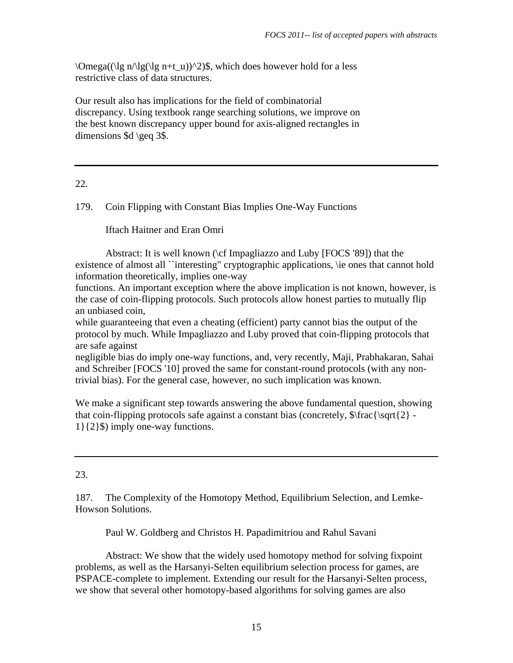\Omega((\lg n/\lg(\lg n+t\_u))^2)\$, which does however hold for a less restrictive class of data structures.

Our result also has implications for the field of combinatorial discrepancy. Using textbook range searching solutions, we improve on the best known discrepancy upper bound for axis-aligned rectangles in dimensions \$d \geq 3\$.

## 22.

# 179. Coin Flipping with Constant Bias Implies One-Way Functions

Iftach Haitner and Eran Omri

 Abstract: It is well known (\cf Impagliazzo and Luby [FOCS '89]) that the existence of almost all ``interesting" cryptographic applications, \ie ones that cannot hold information theoretically, implies one-way

functions. An important exception where the above implication is not known, however, is the case of coin-flipping protocols. Such protocols allow honest parties to mutually flip an unbiased coin,

while guaranteeing that even a cheating (efficient) party cannot bias the output of the protocol by much. While Impagliazzo and Luby proved that coin-flipping protocols that are safe against

negligible bias do imply one-way functions, and, very recently, Maji, Prabhakaran, Sahai and Schreiber [FOCS '10] proved the same for constant-round protocols (with any nontrivial bias). For the general case, however, no such implication was known.

We make a significant step towards answering the above fundamental question, showing that coin-flipping protocols safe against a constant bias (concretely,  $\frac{\sqrt{2}}{-}$ 1}{2}\$) imply one-way functions.

# 23.

187. The Complexity of the Homotopy Method, Equilibrium Selection, and Lemke-Howson Solutions.

Paul W. Goldberg and Christos H. Papadimitriou and Rahul Savani

 Abstract: We show that the widely used homotopy method for solving fixpoint problems, as well as the Harsanyi-Selten equilibrium selection process for games, are PSPACE-complete to implement. Extending our result for the Harsanyi-Selten process, we show that several other homotopy-based algorithms for solving games are also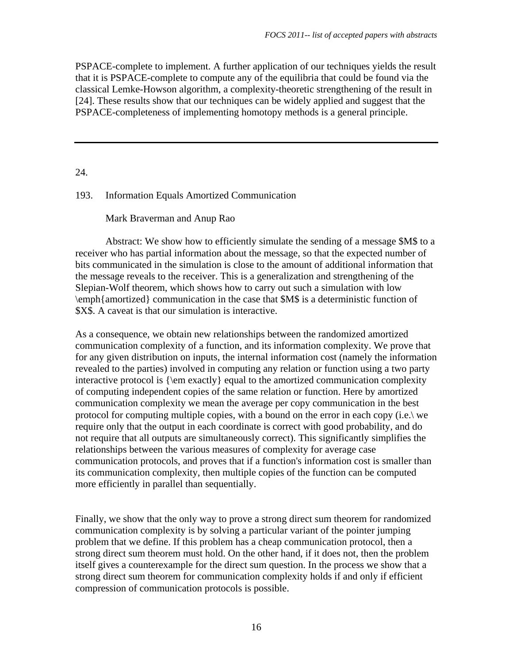PSPACE-complete to implement. A further application of our techniques yields the result that it is PSPACE-complete to compute any of the equilibria that could be found via the classical Lemke-Howson algorithm, a complexity-theoretic strengthening of the result in [24]. These results show that our techniques can be widely applied and suggest that the PSPACE-completeness of implementing homotopy methods is a general principle.

24.

#### 193. Information Equals Amortized Communication

#### Mark Braverman and Anup Rao

 Abstract: We show how to efficiently simulate the sending of a message \$M\$ to a receiver who has partial information about the message, so that the expected number of bits communicated in the simulation is close to the amount of additional information that the message reveals to the receiver. This is a generalization and strengthening of the Slepian-Wolf theorem, which shows how to carry out such a simulation with low \emph{amortized} communication in the case that \$M\$ is a deterministic function of \$X\$. A caveat is that our simulation is interactive.

As a consequence, we obtain new relationships between the randomized amortized communication complexity of a function, and its information complexity. We prove that for any given distribution on inputs, the internal information cost (namely the information revealed to the parties) involved in computing any relation or function using a two party interactive protocol is {\em exactly} equal to the amortized communication complexity of computing independent copies of the same relation or function. Here by amortized communication complexity we mean the average per copy communication in the best protocol for computing multiple copies, with a bound on the error in each copy (i.e.\ we require only that the output in each coordinate is correct with good probability, and do not require that all outputs are simultaneously correct). This significantly simplifies the relationships between the various measures of complexity for average case communication protocols, and proves that if a function's information cost is smaller than its communication complexity, then multiple copies of the function can be computed more efficiently in parallel than sequentially.

Finally, we show that the only way to prove a strong direct sum theorem for randomized communication complexity is by solving a particular variant of the pointer jumping problem that we define. If this problem has a cheap communication protocol, then a strong direct sum theorem must hold. On the other hand, if it does not, then the problem itself gives a counterexample for the direct sum question. In the process we show that a strong direct sum theorem for communication complexity holds if and only if efficient compression of communication protocols is possible.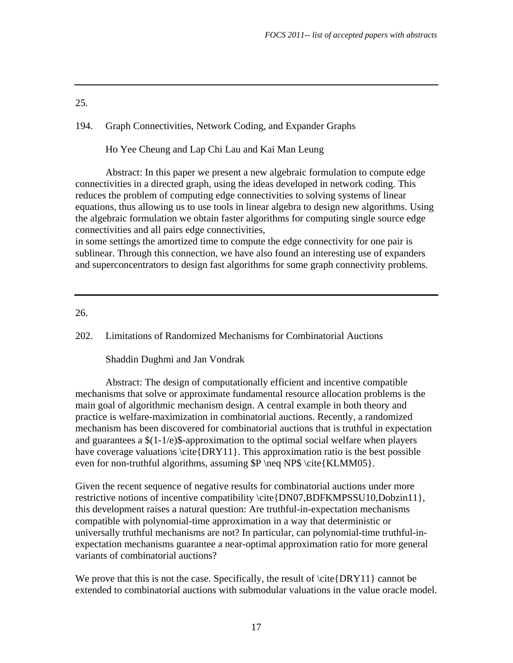194. Graph Connectivities, Network Coding, and Expander Graphs

Ho Yee Cheung and Lap Chi Lau and Kai Man Leung

 Abstract: In this paper we present a new algebraic formulation to compute edge connectivities in a directed graph, using the ideas developed in network coding. This reduces the problem of computing edge connectivities to solving systems of linear equations, thus allowing us to use tools in linear algebra to design new algorithms. Using the algebraic formulation we obtain faster algorithms for computing single source edge connectivities and all pairs edge connectivities,

in some settings the amortized time to compute the edge connectivity for one pair is sublinear. Through this connection, we have also found an interesting use of expanders and superconcentrators to design fast algorithms for some graph connectivity problems.

26.

202. Limitations of Randomized Mechanisms for Combinatorial Auctions

Shaddin Dughmi and Jan Vondrak

 Abstract: The design of computationally efficient and incentive compatible mechanisms that solve or approximate fundamental resource allocation problems is the main goal of algorithmic mechanism design. A central example in both theory and practice is welfare-maximization in combinatorial auctions. Recently, a randomized mechanism has been discovered for combinatorial auctions that is truthful in expectation and guarantees a \$(1-1/e)\$-approximation to the optimal social welfare when players have coverage valuations \cite{DRY11}. This approximation ratio is the best possible even for non-truthful algorithms, assuming  $P \neq NP\$  \cite{KLMM05}.

Given the recent sequence of negative results for combinatorial auctions under more restrictive notions of incentive compatibility \cite{DN07,BDFKMPSSU10,Dobzin11}, this development raises a natural question: Are truthful-in-expectation mechanisms compatible with polynomial-time approximation in a way that deterministic or universally truthful mechanisms are not? In particular, can polynomial-time truthful-inexpectation mechanisms guarantee a near-optimal approximation ratio for more general variants of combinatorial auctions?

We prove that this is not the case. Specifically, the result of  $\cite{DRY11}$  cannot be extended to combinatorial auctions with submodular valuations in the value oracle model.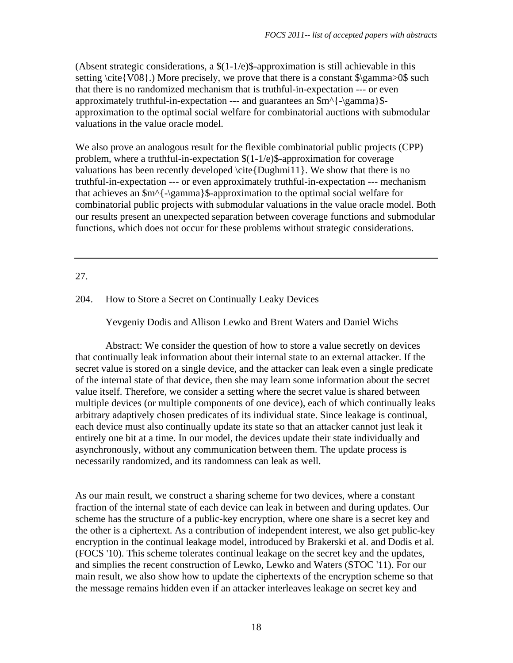(Absent strategic considerations, a  $(1-1/e)$ ). Approximation is still achievable in this setting  $\cite{V08}.)$  More precisely, we prove that there is a constant  $\gamma>0$  such that there is no randomized mechanism that is truthful-in-expectation --- or even approximately truthful-in-expectation --- and guarantees an \$m^{-\gamma}\$ approximation to the optimal social welfare for combinatorial auctions with submodular valuations in the value oracle model.

We also prove an analogous result for the flexible combinatorial public projects (CPP) problem, where a truthful-in-expectation \$(1-1/e)\$-approximation for coverage valuations has been recently developed \cite{Dughmi11}. We show that there is no truthful-in-expectation --- or even approximately truthful-in-expectation --- mechanism that achieves an \$m^{-\gamma}\$-approximation to the optimal social welfare for combinatorial public projects with submodular valuations in the value oracle model. Both our results present an unexpected separation between coverage functions and submodular functions, which does not occur for these problems without strategic considerations.

## 27.

#### 204. How to Store a Secret on Continually Leaky Devices

Yevgeniy Dodis and Allison Lewko and Brent Waters and Daniel Wichs

 Abstract: We consider the question of how to store a value secretly on devices that continually leak information about their internal state to an external attacker. If the secret value is stored on a single device, and the attacker can leak even a single predicate of the internal state of that device, then she may learn some information about the secret value itself. Therefore, we consider a setting where the secret value is shared between multiple devices (or multiple components of one device), each of which continually leaks arbitrary adaptively chosen predicates of its individual state. Since leakage is continual, each device must also continually update its state so that an attacker cannot just leak it entirely one bit at a time. In our model, the devices update their state individually and asynchronously, without any communication between them. The update process is necessarily randomized, and its randomness can leak as well.

As our main result, we construct a sharing scheme for two devices, where a constant fraction of the internal state of each device can leak in between and during updates. Our scheme has the structure of a public-key encryption, where one share is a secret key and the other is a ciphertext. As a contribution of independent interest, we also get public-key encryption in the continual leakage model, introduced by Brakerski et al. and Dodis et al. (FOCS '10). This scheme tolerates continual leakage on the secret key and the updates, and simplies the recent construction of Lewko, Lewko and Waters (STOC '11). For our main result, we also show how to update the ciphertexts of the encryption scheme so that the message remains hidden even if an attacker interleaves leakage on secret key and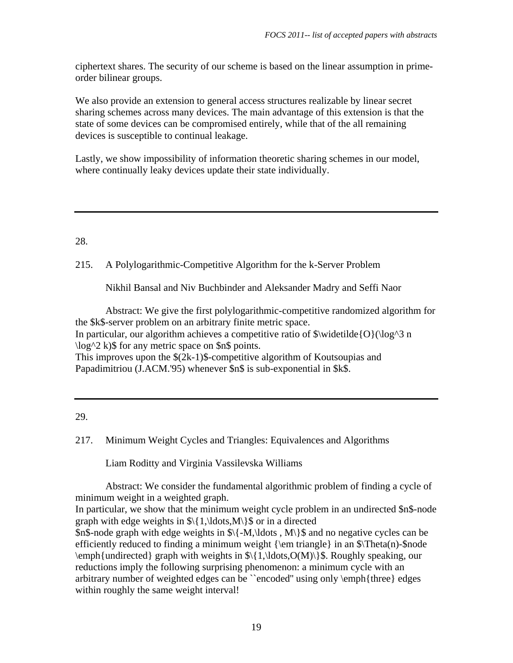ciphertext shares. The security of our scheme is based on the linear assumption in primeorder bilinear groups.

We also provide an extension to general access structures realizable by linear secret sharing schemes across many devices. The main advantage of this extension is that the state of some devices can be compromised entirely, while that of the all remaining devices is susceptible to continual leakage.

Lastly, we show impossibility of information theoretic sharing schemes in our model, where continually leaky devices update their state individually.

28.

215. A Polylogarithmic-Competitive Algorithm for the k-Server Problem

Nikhil Bansal and Niv Buchbinder and Aleksander Madry and Seffi Naor

 Abstract: We give the first polylogarithmic-competitive randomized algorithm for the \$k\$-server problem on an arbitrary finite metric space. In particular, our algorithm achieves a competitive ratio of  $\widetilde{\O}(\log^3 n)$  $\log^2 2$  k)\$ for any metric space on \$n\$ points. This improves upon the \$(2k-1)\$-competitive algorithm of Koutsoupias and Papadimitriou (J.ACM.'95) whenever \$n\$ is sub-exponential in \$k\$.

29.

217. Minimum Weight Cycles and Triangles: Equivalences and Algorithms

Liam Roditty and Virginia Vassilevska Williams

 Abstract: We consider the fundamental algorithmic problem of finding a cycle of minimum weight in a weighted graph.

In particular, we show that the minimum weight cycle problem in an undirected \$n\$-node graph with edge weights in  $\{\{1,\ldots,M\}\}\$  or in a directed

\$n\$-node graph with edge weights in  $\{\{-M\},\ldots\}$  and no negative cycles can be efficiently reduced to finding a minimum weight  $\{\emph{normal}\$  in an  $\Theta(n)$ -shode \emph{undirected} graph with weights in \$\{1,\ldots,O(M)\}\$. Roughly speaking, our reductions imply the following surprising phenomenon: a minimum cycle with an arbitrary number of weighted edges can be ``encoded'' using only \emph{three} edges within roughly the same weight interval!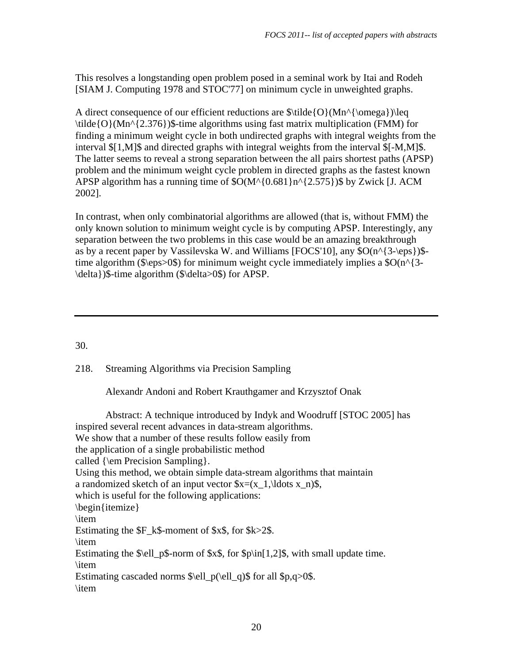This resolves a longstanding open problem posed in a seminal work by Itai and Rodeh [SIAM J. Computing 1978 and STOC'77] on minimum cycle in unweighted graphs.

A direct consequence of our efficient reductions are  $\tilde{O}(Mn^{\omega})\leq$  $\tilde{O}(Mn^{2.376})$ \$-time algorithms using fast matrix multiplication (FMM) for finding a minimum weight cycle in both undirected graphs with integral weights from the interval \$[1,M]\$ and directed graphs with integral weights from the interval \$[-M,M]\$. The latter seems to reveal a strong separation between the all pairs shortest paths (APSP) problem and the minimum weight cycle problem in directed graphs as the fastest known APSP algorithm has a running time of  $O(M^{(0.681)}n^{(2.575)})$ \$ by Zwick [J. ACM] 2002].

In contrast, when only combinatorial algorithms are allowed (that is, without FMM) the only known solution to minimum weight cycle is by computing APSP. Interestingly, any separation between the two problems in this case would be an amazing breakthrough as by a recent paper by Vassilevska W. and Williams [FOCS'10], any  $\mathcal{S}O(n^{3}-\epsilon)$ \$time algorithm ( $\epsilon > 0$ ) for minimum weight cycle immediately implies a  $O(n^{3-1})$ \delta})\$-time algorithm (\$\delta>0\$) for APSP.

# 30.

# 218. Streaming Algorithms via Precision Sampling

Alexandr Andoni and Robert Krauthgamer and Krzysztof Onak

 Abstract: A technique introduced by Indyk and Woodruff [STOC 2005] has inspired several recent advances in data-stream algorithms. We show that a number of these results follow easily from the application of a single probabilistic method called {\em Precision Sampling}. Using this method, we obtain simple data-stream algorithms that maintain a randomized sketch of an input vector  $x=(x_1,\ldots, x_n)$ . which is useful for the following applications: \begin{itemize} \item Estimating the  $F$  k\$-moment of  $x$ \$, for  $k > 2$ \$. \item Estimating the  $\ell \leq \ell$  p\$-norm of  $x\$ , for  $\phi\in[1,2]\$ , with small update time. \item Estimating cascaded norms  $\ell_{p(\ell_q)}$  for all  $p,q>0$ . \item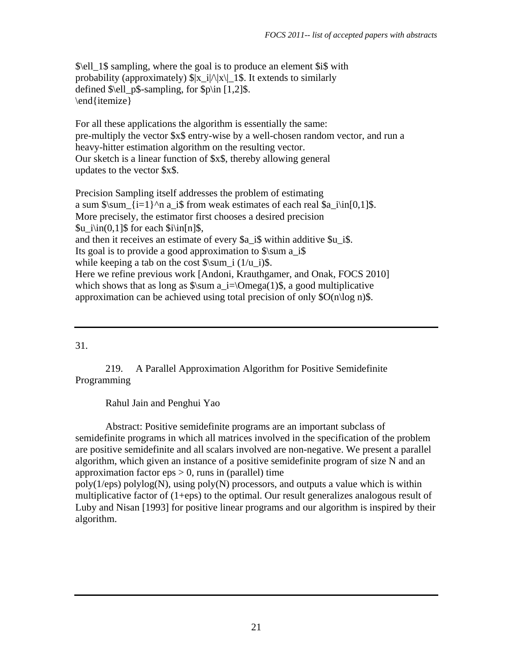\$\ell\_1\$ sampling, where the goal is to produce an element \$i\$ with probability (approximately)  $\frac{|x_i|}{|x|}$ . It extends to similarly defined  $\ell_{p\$ -sampling, for  $\pi$ [1,2]\$. \end{itemize}

For all these applications the algorithm is essentially the same: pre-multiply the vector \$x\$ entry-wise by a well-chosen random vector, and run a heavy-hitter estimation algorithm on the resulting vector. Our sketch is a linear function of \$x\$, thereby allowing general updates to the vector \$x\$.

Precision Sampling itself addresses the problem of estimating a sum  $\sum_{i=1}^n a_i$  a is from weak estimates of each real  $a_i\in[0,1]$ . More precisely, the estimator first chooses a desired precision  $\text{S}u$  i\in(0,1]\$ for each  $\sin[n]\$ \$, and then it receives an estimate of every \$a\_i\$ within additive \$u\_i\$. Its goal is to provide a good approximation to  $\sum a_i$ while keeping a tab on the cost  $\sum i (1/u_i)\$ . Here we refine previous work [Andoni, Krauthgamer, and Onak, FOCS 2010] which shows that as long as  $\sum a_i = \Omega(1)\$ , a good multiplicative approximation can be achieved using total precision of only  $\Omega(n\log n)$ .

# 31.

219. A Parallel Approximation Algorithm for Positive Semidefinite Programming

Rahul Jain and Penghui Yao

 Abstract: Positive semidefinite programs are an important subclass of semidefinite programs in which all matrices involved in the specification of the problem are positive semidefinite and all scalars involved are non-negative. We present a parallel algorithm, which given an instance of a positive semidefinite program of size N and an approximation factor  $eps > 0$ , runs in (parallel) time

 $poly(1/eps)$  polylog(N), using  $poly(N)$  processors, and outputs a value which is within multiplicative factor of (1+eps) to the optimal. Our result generalizes analogous result of Luby and Nisan [1993] for positive linear programs and our algorithm is inspired by their algorithm.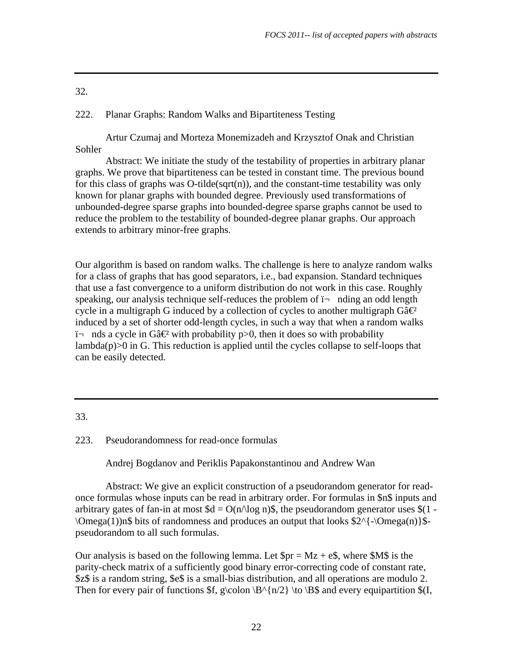| ۰.<br>۰.<br>$\sim$<br>× |  |
|-------------------------|--|

# 222. Planar Graphs: Random Walks and Bipartiteness Testing

 Artur Czumaj and Morteza Monemizadeh and Krzysztof Onak and Christian Sohler

 Abstract: We initiate the study of the testability of properties in arbitrary planar graphs. We prove that bipartiteness can be tested in constant time. The previous bound for this class of graphs was  $O$ -tilde(sqrt(n)), and the constant-time testability was only known for planar graphs with bounded degree. Previously used transformations of unbounded-degree sparse graphs into bounded-degree sparse graphs cannot be used to reduce the problem to the testability of bounded-degree planar graphs. Our approach extends to arbitrary minor-free graphs.

Our algorithm is based on random walks. The challenge is here to analyze random walks for a class of graphs that has good separators, i.e., bad expansion. Standard techniques that use a fast convergence to a uniform distribution do not work in this case. Roughly speaking, our analysis technique self-reduces the problem of  $\mathbf{i}$  nding an odd length cycle in a multigraph G induced by a collection of cycles to another multigraph Gâ $\theta$ induced by a set of shorter odd-length cycles, in such a way that when a random walks  $\mathbf{i}$  nds a cycle in Gâ $\mathcal{C}$  with probability p>0, then it does so with probability  $\lambda$  lambda(p) $>0$  in G. This reduction is applied until the cycles collapse to self-loops that can be easily detected.

## 33.

223. Pseudorandomness for read-once formulas

Andrej Bogdanov and Periklis Papakonstantinou and Andrew Wan

 Abstract: We give an explicit construction of a pseudorandom generator for readonce formulas whose inputs can be read in arbitrary order. For formulas in \$n\$ inputs and arbitrary gates of fan-in at most  $d = O(n/\log n)$ , the pseudorandom generator uses  $(1 \Omega(1)$  \Omega(1))n\$ bits of randomness and produces an output that looks  $2^{\{\}$  \Omega(n)}\$pseudorandom to all such formulas.

Our analysis is based on the following lemma. Let  $\text{Spr} = Mz + e\text{S}$ , where  $\text{SMS}$  is the parity-check matrix of a sufficiently good binary error-correcting code of constant rate, \$z\$ is a random string, \$e\$ is a small-bias distribution, and all operations are modulo 2. Then for every pair of functions  $f, g\colon B^{n/2} \to B\$  and every equipartition  $f, f$ ,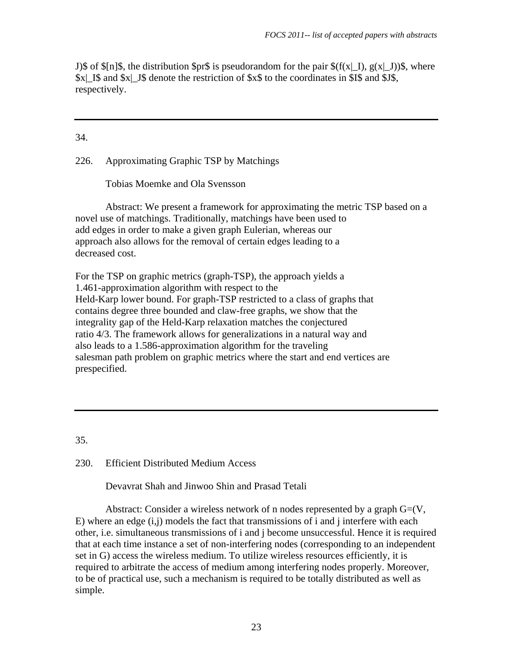J)\$ of  $\[\ln\]\$ , the distribution  $\pr\$  is pseudorandom for the pair  $\$(f(x)|_I), g(x|_J))\$ , where \$x|\_I\$ and \$x|\_J\$ denote the restriction of \$x\$ to the coordinates in \$I\$ and \$J\$, respectively.

## 34.

#### 226. Approximating Graphic TSP by Matchings

Tobias Moemke and Ola Svensson

 Abstract: We present a framework for approximating the metric TSP based on a novel use of matchings. Traditionally, matchings have been used to add edges in order to make a given graph Eulerian, whereas our approach also allows for the removal of certain edges leading to a decreased cost.

For the TSP on graphic metrics (graph-TSP), the approach yields a 1.461-approximation algorithm with respect to the Held-Karp lower bound. For graph-TSP restricted to a class of graphs that contains degree three bounded and claw-free graphs, we show that the integrality gap of the Held-Karp relaxation matches the conjectured ratio 4/3. The framework allows for generalizations in a natural way and also leads to a 1.586-approximation algorithm for the traveling salesman path problem on graphic metrics where the start and end vertices are prespecified.

35.

#### 230. Efficient Distributed Medium Access

Devavrat Shah and Jinwoo Shin and Prasad Tetali

Abstract: Consider a wireless network of n nodes represented by a graph  $G=(V, \mathcal{E})$  $E$ ) where an edge  $(i,j)$  models the fact that transmissions of i and j interfere with each other, i.e. simultaneous transmissions of i and j become unsuccessful. Hence it is required that at each time instance a set of non-interfering nodes (corresponding to an independent set in G) access the wireless medium. To utilize wireless resources efficiently, it is required to arbitrate the access of medium among interfering nodes properly. Moreover, to be of practical use, such a mechanism is required to be totally distributed as well as simple.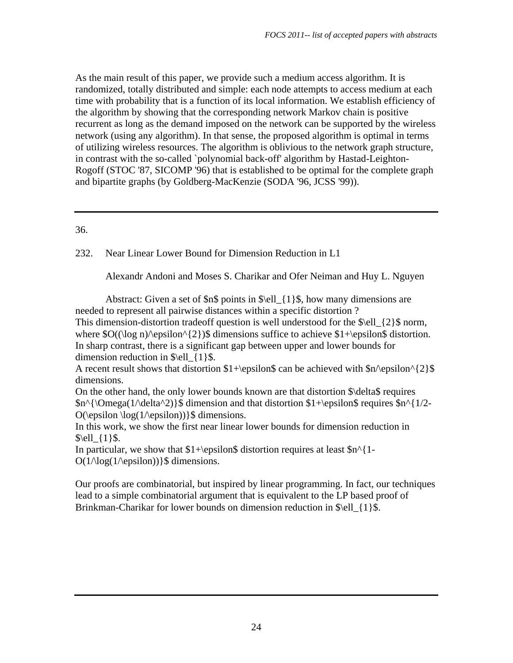As the main result of this paper, we provide such a medium access algorithm. It is randomized, totally distributed and simple: each node attempts to access medium at each time with probability that is a function of its local information. We establish efficiency of the algorithm by showing that the corresponding network Markov chain is positive recurrent as long as the demand imposed on the network can be supported by the wireless network (using any algorithm). In that sense, the proposed algorithm is optimal in terms of utilizing wireless resources. The algorithm is oblivious to the network graph structure, in contrast with the so-called `polynomial back-off' algorithm by Hastad-Leighton-Rogoff (STOC '87, SICOMP '96) that is established to be optimal for the complete graph and bipartite graphs (by Goldberg-MacKenzie (SODA '96, JCSS '99)).

## 36.

232. Near Linear Lower Bound for Dimension Reduction in L1

Alexandr Andoni and Moses S. Charikar and Ofer Neiman and Huy L. Nguyen

Abstract: Given a set of  $\n$   $\$  points in  $\ell_1$   $\$ , how many dimensions are needed to represent all pairwise distances within a specific distortion ?

This dimension-distortion tradeoff question is well understood for the \$\ell  $\{2\}\$ \$ norm, where  $O((\log n)/\epsilon^{2})\$  dimensions suffice to achieve  $1+\epsilon$  distortion. In sharp contrast, there is a significant gap between upper and lower bounds for dimension reduction in  $\ell_{1}$  {1}\$.

A recent result shows that distortion  $1+\epsilon$  and be achieved with  $\eta$  \epsilon^{2}\$ dimensions.

On the other hand, the only lower bounds known are that distortion \$\delta\$ requires  $\text{\$n^{\Omega(1/\delta^2)}\$}$  dimension and that distortion \$1+\epsilon\$ requires \$n^{1/2- $O(\epsilon) \log(1/\epsilon)$ }\$ dimensions.

In this work, we show the first near linear lower bounds for dimension reduction in  $\ell_{1}$ \ell  $\{1\}$ \\$.

In particular, we show that  $1+\epsilon \$  distortion requires at least  $\text{sn}^1 O(1/\log(1/\epsilon))$  s dimensions.

Our proofs are combinatorial, but inspired by linear programming. In fact, our techniques lead to a simple combinatorial argument that is equivalent to the LP based proof of Brinkman-Charikar for lower bounds on dimension reduction in  $\ell_1$  {1}\$.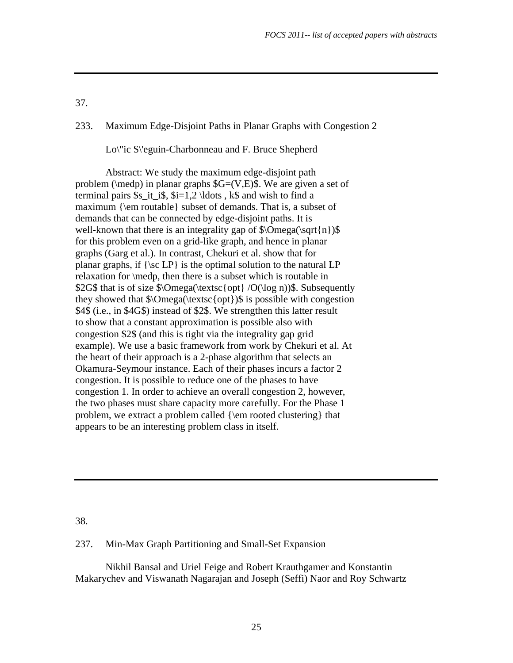## 233. Maximum Edge-Disjoint Paths in Planar Graphs with Congestion 2

Lo\"ic S\'eguin-Charbonneau and F. Bruce Shepherd

 Abstract: We study the maximum edge-disjoint path problem ( $\mathcal{D}$ ) in planar graphs  $G=(V,E)\$ . We are given a set of terminal pairs  $s_i$  it is,  $s_i=1,2 \ldots$ , ks and wish to find a maximum {\em routable} subset of demands. That is, a subset of demands that can be connected by edge-disjoint paths. It is well-known that there is an integrality gap of  $\Omega(\sqrt{n})\$ for this problem even on a grid-like graph, and hence in planar graphs (Garg et al.). In contrast, Chekuri et al. show that for planar graphs, if  $\{\succeq L\}$  is the optimal solution to the natural LP relaxation for \medp, then there is a subset which is routable in \$2G\$ that is of size \$\Omega(\textsc{opt} /O(\log n))\$. Subsequently they showed that  $\Omega(\text{extsc}^{\theta})\$  is possible with congestion \$4\$ (i.e., in \$4G\$) instead of \$2\$. We strengthen this latter result to show that a constant approximation is possible also with congestion \$2\$ (and this is tight via the integrality gap grid example). We use a basic framework from work by Chekuri et al. At the heart of their approach is a 2-phase algorithm that selects an Okamura-Seymour instance. Each of their phases incurs a factor 2 congestion. It is possible to reduce one of the phases to have congestion 1. In order to achieve an overall congestion 2, however, the two phases must share capacity more carefully. For the Phase 1 problem, we extract a problem called {\em rooted clustering} that appears to be an interesting problem class in itself.

38.

#### 237. Min-Max Graph Partitioning and Small-Set Expansion

 Nikhil Bansal and Uriel Feige and Robert Krauthgamer and Konstantin Makarychev and Viswanath Nagarajan and Joseph (Seffi) Naor and Roy Schwartz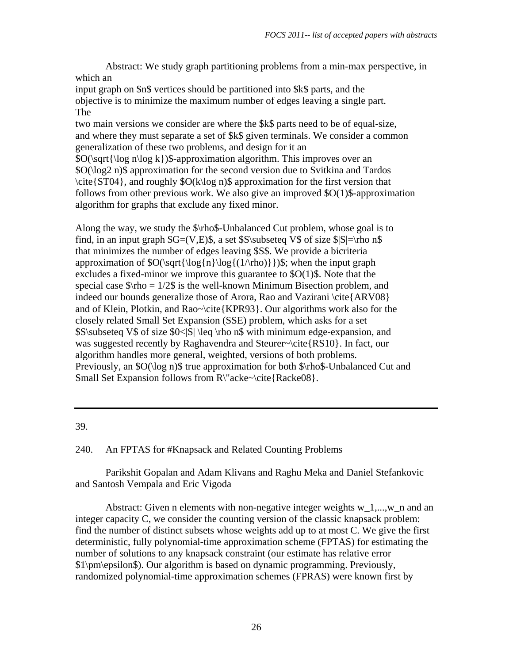Abstract: We study graph partitioning problems from a min-max perspective, in which an

input graph on \$n\$ vertices should be partitioned into \$k\$ parts, and the objective is to minimize the maximum number of edges leaving a single part. The

two main versions we consider are where the \$k\$ parts need to be of equal-size, and where they must separate a set of \$k\$ given terminals. We consider a common generalization of these two problems, and design for it an

 $\mathcal{S}O(\sqrt{\log n\log k})\$ -approximation algorithm. This improves over an \$O(\log2 n)\$ approximation for the second version due to Svitkina and Tardos  $\c{ST04}$ , and roughly  $\O(k\log n)$  approximation for the first version that follows from other previous work. We also give an improved \$O(1)\$-approximation algorithm for graphs that exclude any fixed minor.

Along the way, we study the \$\rho\$-Unbalanced Cut problem, whose goal is to find, in an input graph  $G=(V,E)\$ , a set  $S\substack{\text{s}}$  of size  $|S|=r$  ho n\$ that minimizes the number of edges leaving \$S\$. We provide a bicriteria approximation of  $O(\sqrt{\log{n}\log(1/\rho)})$ \$; when the input graph excludes a fixed-minor we improve this guarantee to \$O(1)\$. Note that the special case  $\frac{\pi}{6}$  is the well-known Minimum Bisection problem, and indeed our bounds generalize those of Arora, Rao and Vazirani \cite{ARV08} and of Klein, Plotkin, and Rao~\cite{KPR93}. Our algorithms work also for the closely related Small Set Expansion (SSE) problem, which asks for a set  $S\sub{S\sub{S} \leq S0\leq S} \leq \rho \$  with minimum edge-expansion, and was suggested recently by Raghavendra and Steurer~\cite{RS10}. In fact, our algorithm handles more general, weighted, versions of both problems. Previously, an \$O(\log n)\$ true approximation for both \$\rho\$-Unbalanced Cut and Small Set Expansion follows from R\"acke~\cite{Racke08}.

39.

240. An FPTAS for #Knapsack and Related Counting Problems

 Parikshit Gopalan and Adam Klivans and Raghu Meka and Daniel Stefankovic and Santosh Vempala and Eric Vigoda

Abstract: Given n elements with non-negative integer weights  $w_1, ..., w_n$  n and an integer capacity C, we consider the counting version of the classic knapsack problem: find the number of distinct subsets whose weights add up to at most C. We give the first deterministic, fully polynomial-time approximation scheme (FPTAS) for estimating the number of solutions to any knapsack constraint (our estimate has relative error \$1\pm\epsilon\$). Our algorithm is based on dynamic programming. Previously, randomized polynomial-time approximation schemes (FPRAS) were known first by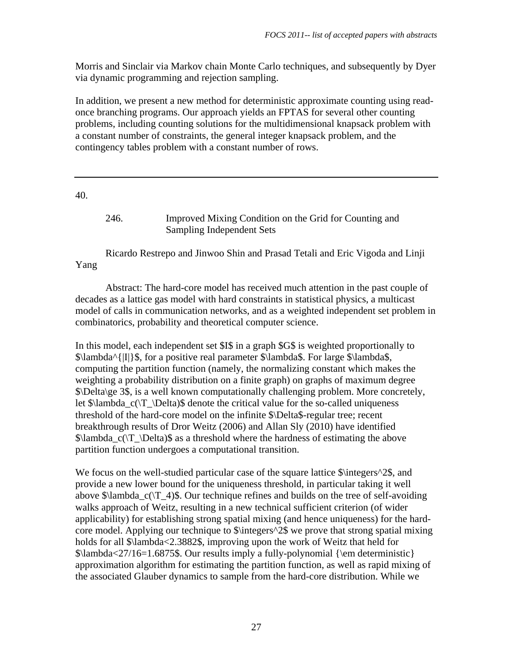Morris and Sinclair via Markov chain Monte Carlo techniques, and subsequently by Dyer via dynamic programming and rejection sampling.

In addition, we present a new method for deterministic approximate counting using readonce branching programs. Our approach yields an FPTAS for several other counting problems, including counting solutions for the multidimensional knapsack problem with a constant number of constraints, the general integer knapsack problem, and the contingency tables problem with a constant number of rows.

40.

246. Improved Mixing Condition on the Grid for Counting and Sampling Independent Sets

 Ricardo Restrepo and Jinwoo Shin and Prasad Tetali and Eric Vigoda and Linji Yang

 Abstract: The hard-core model has received much attention in the past couple of decades as a lattice gas model with hard constraints in statistical physics, a multicast model of calls in communication networks, and as a weighted independent set problem in combinatorics, probability and theoretical computer science.

In this model, each independent set \$I\$ in a graph \$G\$ is weighted proportionally to \$\lambda^{|I|}\$, for a positive real parameter \$\lambda\$. For large \$\lambda\$, computing the partition function (namely, the normalizing constant which makes the weighting a probability distribution on a finite graph) on graphs of maximum degree \$\Delta\ge 3\$, is a well known computationally challenging problem. More concretely, let  $\lambda_c(\T\Delta)\$  denote the critical value for the so-called uniqueness threshold of the hard-core model on the infinite \$\Delta\$-regular tree; recent breakthrough results of Dror Weitz (2006) and Allan Sly (2010) have identified  $\lambda_c(\T \Delta)$  as a threshold where the hardness of estimating the above partition function undergoes a computational transition.

We focus on the well-studied particular case of the square lattice  $\frac{\partial^2 f}{\partial x^2}$ , and provide a new lower bound for the uniqueness threshold, in particular taking it well above  $\lambda$ lambda  $c(\mathcal{T}_4)\$ . Our technique refines and builds on the tree of self-avoiding walks approach of Weitz, resulting in a new technical sufficient criterion (of wider applicability) for establishing strong spatial mixing (and hence uniqueness) for the hardcore model. Applying our technique to \$\integers^2\$ we prove that strong spatial mixing holds for all \$\lambda<2.3882\$, improving upon the work of Weitz that held for  $\lambda < 27/16 = 1.6875$ . Our results imply a fully-polynomial {\em deterministic} approximation algorithm for estimating the partition function, as well as rapid mixing of the associated Glauber dynamics to sample from the hard-core distribution. While we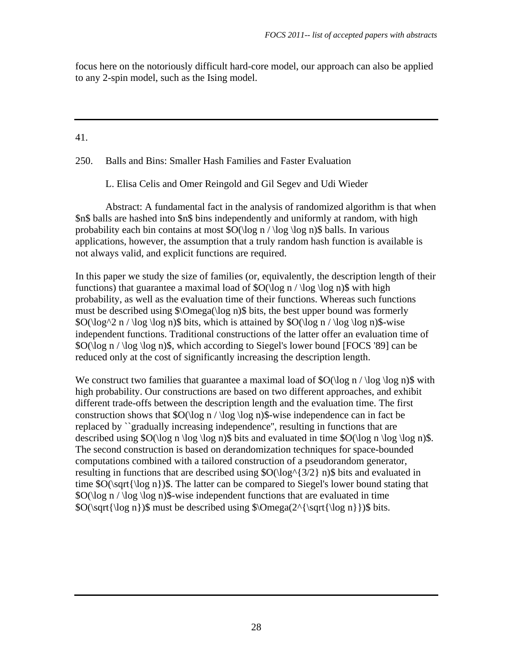focus here on the notoriously difficult hard-core model, our approach can also be applied to any 2-spin model, such as the Ising model.

## 41.

250. Balls and Bins: Smaller Hash Families and Faster Evaluation

L. Elisa Celis and Omer Reingold and Gil Segev and Udi Wieder

 Abstract: A fundamental fact in the analysis of randomized algorithm is that when \$n\$ balls are hashed into \$n\$ bins independently and uniformly at random, with high probability each bin contains at most \$O(\log n / \log \log n)\$ balls. In various applications, however, the assumption that a truly random hash function is available is not always valid, and explicit functions are required.

In this paper we study the size of families (or, equivalently, the description length of their functions) that guarantee a maximal load of  $O(\log n / \log \log n)$  with high probability, as well as the evaluation time of their functions. Whereas such functions must be described using \$\Omega(\log n)\$ bits, the best upper bound was formerly  $$O(\log^2 n / \log \log n)$$  bits, which is attained by  $$O(\log n / \log \log n)$$ -wise independent functions. Traditional constructions of the latter offer an evaluation time of \$O(\log n / \log \log n)\$, which according to Siegel's lower bound [FOCS '89] can be reduced only at the cost of significantly increasing the description length.

We construct two families that guarantee a maximal load of  $\mathcal{O}(\log n / \log \log n)$  with high probability. Our constructions are based on two different approaches, and exhibit different trade-offs between the description length and the evaluation time. The first construction shows that  $\mathcal{S}O(\log n / \log \log n)$  wise independence can in fact be replaced by ``gradually increasing independence'', resulting in functions that are described using  $O(\log n \log \log n)$  bits and evaluated in time  $O(\log n \log \log n)$ . The second construction is based on derandomization techniques for space-bounded computations combined with a tailored construction of a pseudorandom generator, resulting in functions that are described using  $\mathcal{O}(\log^{3}/2)$  n) is bits and evaluated in time \$O(\sqrt{\log n})\$. The latter can be compared to Siegel's lower bound stating that  $\text{SO}(\log n / \log \log n)$  wise independent functions that are evaluated in time  $\O(\sqrt{\log n})\$  must be described using  $\Omega(2^{\sqrt{\sqrt{\log n}}})\$  bits.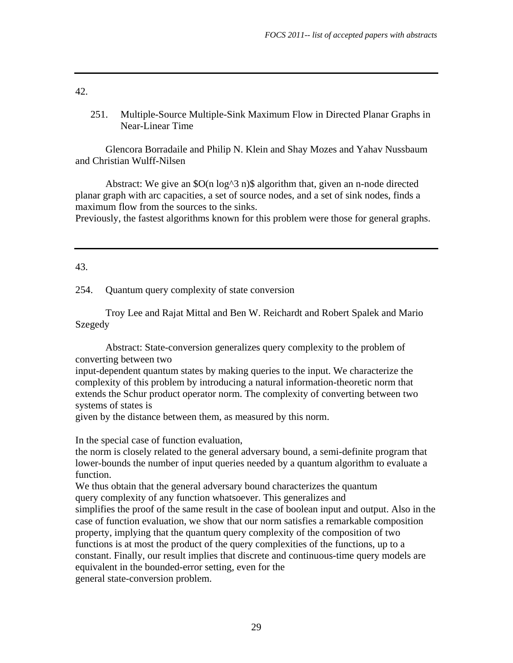251. Multiple-Source Multiple-Sink Maximum Flow in Directed Planar Graphs in Near-Linear Time

 Glencora Borradaile and Philip N. Klein and Shay Mozes and Yahav Nussbaum and Christian Wulff-Nilsen

 Abstract: We give an \$O(n log^3 n)\$ algorithm that, given an n-node directed planar graph with arc capacities, a set of source nodes, and a set of sink nodes, finds a maximum flow from the sources to the sinks.

Previously, the fastest algorithms known for this problem were those for general graphs.

43.

254. Quantum query complexity of state conversion

 Troy Lee and Rajat Mittal and Ben W. Reichardt and Robert Spalek and Mario Szegedy

 Abstract: State-conversion generalizes query complexity to the problem of converting between two

input-dependent quantum states by making queries to the input. We characterize the complexity of this problem by introducing a natural information-theoretic norm that extends the Schur product operator norm. The complexity of converting between two systems of states is

given by the distance between them, as measured by this norm.

In the special case of function evaluation,

the norm is closely related to the general adversary bound, a semi-definite program that lower-bounds the number of input queries needed by a quantum algorithm to evaluate a function.

We thus obtain that the general adversary bound characterizes the quantum query complexity of any function whatsoever. This generalizes and

simplifies the proof of the same result in the case of boolean input and output. Also in the case of function evaluation, we show that our norm satisfies a remarkable composition property, implying that the quantum query complexity of the composition of two functions is at most the product of the query complexities of the functions, up to a constant. Finally, our result implies that discrete and continuous-time query models are equivalent in the bounded-error setting, even for the general state-conversion problem.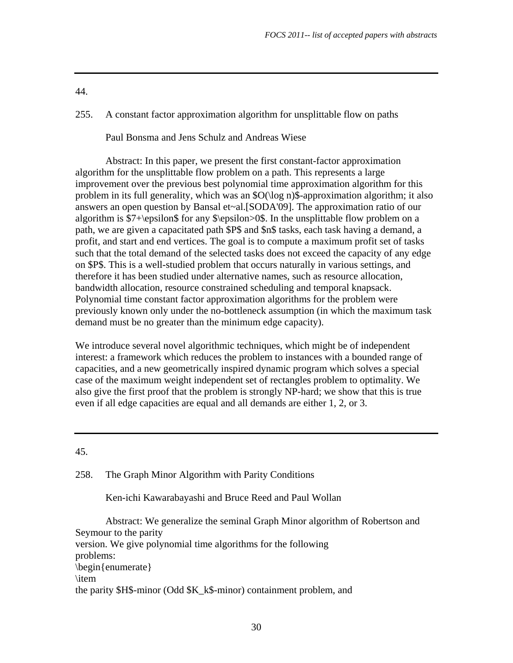255. A constant factor approximation algorithm for unsplittable flow on paths

Paul Bonsma and Jens Schulz and Andreas Wiese

 Abstract: In this paper, we present the first constant-factor approximation algorithm for the unsplittable flow problem on a path. This represents a large improvement over the previous best polynomial time approximation algorithm for this problem in its full generality, which was an \$O(\log n)\$-approximation algorithm; it also answers an open question by Bansal et~al.[SODA'09]. The approximation ratio of our algorithm is \$7+\epsilon\$ for any \$\epsilon>0\$. In the unsplittable flow problem on a path, we are given a capacitated path \$P\$ and \$n\$ tasks, each task having a demand, a profit, and start and end vertices. The goal is to compute a maximum profit set of tasks such that the total demand of the selected tasks does not exceed the capacity of any edge on \$P\$. This is a well-studied problem that occurs naturally in various settings, and therefore it has been studied under alternative names, such as resource allocation, bandwidth allocation, resource constrained scheduling and temporal knapsack. Polynomial time constant factor approximation algorithms for the problem were previously known only under the no-bottleneck assumption (in which the maximum task demand must be no greater than the minimum edge capacity).

We introduce several novel algorithmic techniques, which might be of independent interest: a framework which reduces the problem to instances with a bounded range of capacities, and a new geometrically inspired dynamic program which solves a special case of the maximum weight independent set of rectangles problem to optimality. We also give the first proof that the problem is strongly NP-hard; we show that this is true even if all edge capacities are equal and all demands are either 1, 2, or 3.

45.

258. The Graph Minor Algorithm with Parity Conditions

Ken-ichi Kawarabayashi and Bruce Reed and Paul Wollan

 Abstract: We generalize the seminal Graph Minor algorithm of Robertson and Seymour to the parity version. We give polynomial time algorithms for the following problems: \begin{enumerate} \item the parity \$H\$-minor (Odd \$K\_k\$-minor) containment problem, and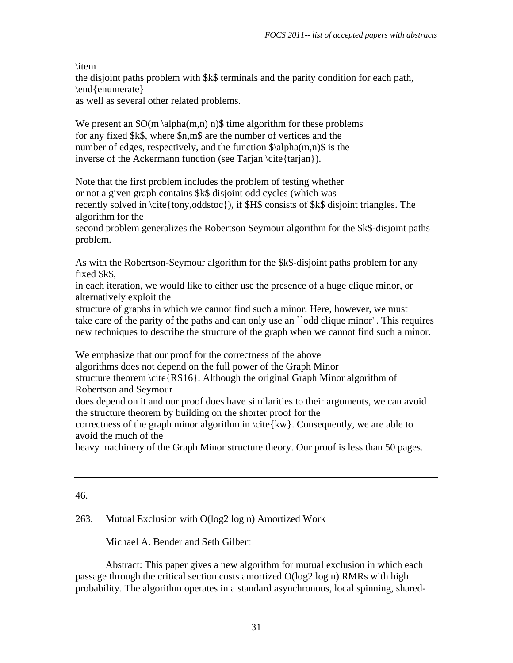\item

the disjoint paths problem with \$k\$ terminals and the parity condition for each path, \end{enumerate}

as well as several other related problems.

We present an  $\mathcal{S}O(m \alpha(m,n) n)\$  time algorithm for these problems for any fixed \$k\$, where \$n,m\$ are the number of vertices and the number of edges, respectively, and the function  $\alpha(m,n)$  is the inverse of the Ackermann function (see Tarjan \cite{tarjan}).

Note that the first problem includes the problem of testing whether or not a given graph contains \$k\$ disjoint odd cycles (which was recently solved in \cite{tony,oddstoc}), if \$H\$ consists of \$k\$ disjoint triangles. The algorithm for the

second problem generalizes the Robertson Seymour algorithm for the \$k\$-disjoint paths problem.

As with the Robertson-Seymour algorithm for the \$k\$-disjoint paths problem for any fixed \$k\$,

in each iteration, we would like to either use the presence of a huge clique minor, or alternatively exploit the

structure of graphs in which we cannot find such a minor. Here, however, we must take care of the parity of the paths and can only use an ``odd clique minor". This requires new techniques to describe the structure of the graph when we cannot find such a minor.

We emphasize that our proof for the correctness of the above

algorithms does not depend on the full power of the Graph Minor

structure theorem \cite{RS16}. Although the original Graph Minor algorithm of Robertson and Seymour

does depend on it and our proof does have similarities to their arguments, we can avoid the structure theorem by building on the shorter proof for the

correctness of the graph minor algorithm in  $\cite{kw}$ . Consequently, we are able to avoid the much of the

heavy machinery of the Graph Minor structure theory. Our proof is less than 50 pages.

# 46.

263. Mutual Exclusion with O(log2 log n) Amortized Work

Michael A. Bender and Seth Gilbert

 Abstract: This paper gives a new algorithm for mutual exclusion in which each passage through the critical section costs amortized O(log2 log n) RMRs with high probability. The algorithm operates in a standard asynchronous, local spinning, shared-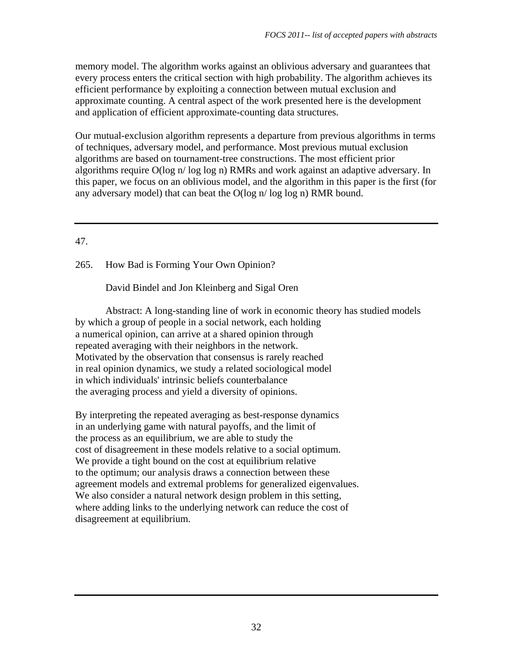memory model. The algorithm works against an oblivious adversary and guarantees that every process enters the critical section with high probability. The algorithm achieves its efficient performance by exploiting a connection between mutual exclusion and approximate counting. A central aspect of the work presented here is the development and application of efficient approximate-counting data structures.

Our mutual-exclusion algorithm represents a departure from previous algorithms in terms of techniques, adversary model, and performance. Most previous mutual exclusion algorithms are based on tournament-tree constructions. The most efficient prior algorithms require O(log n/ log log n) RMRs and work against an adaptive adversary. In this paper, we focus on an oblivious model, and the algorithm in this paper is the first (for any adversary model) that can beat the O(log n/ log log n) RMR bound.

# 47.

# 265. How Bad is Forming Your Own Opinion?

David Bindel and Jon Kleinberg and Sigal Oren

 Abstract: A long-standing line of work in economic theory has studied models by which a group of people in a social network, each holding a numerical opinion, can arrive at a shared opinion through repeated averaging with their neighbors in the network. Motivated by the observation that consensus is rarely reached in real opinion dynamics, we study a related sociological model in which individuals' intrinsic beliefs counterbalance the averaging process and yield a diversity of opinions.

By interpreting the repeated averaging as best-response dynamics in an underlying game with natural payoffs, and the limit of the process as an equilibrium, we are able to study the cost of disagreement in these models relative to a social optimum. We provide a tight bound on the cost at equilibrium relative to the optimum; our analysis draws a connection between these agreement models and extremal problems for generalized eigenvalues. We also consider a natural network design problem in this setting, where adding links to the underlying network can reduce the cost of disagreement at equilibrium.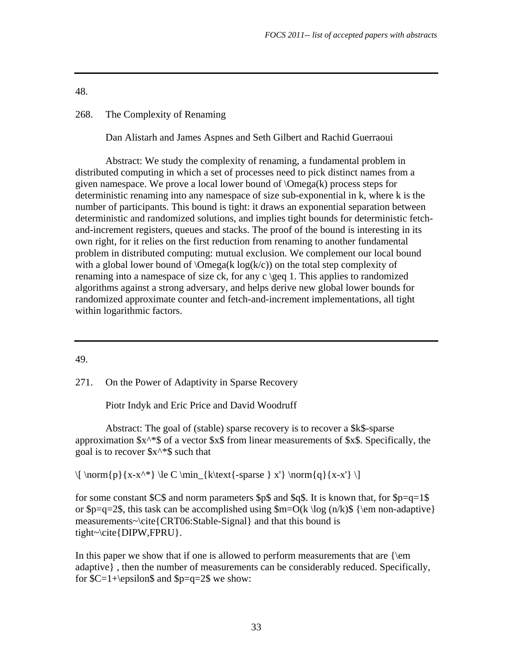# 268. The Complexity of Renaming

Dan Alistarh and James Aspnes and Seth Gilbert and Rachid Guerraoui

 Abstract: We study the complexity of renaming, a fundamental problem in distributed computing in which a set of processes need to pick distinct names from a given namespace. We prove a local lower bound of \Omega(k) process steps for deterministic renaming into any namespace of size sub-exponential in k, where k is the number of participants. This bound is tight: it draws an exponential separation between deterministic and randomized solutions, and implies tight bounds for deterministic fetchand-increment registers, queues and stacks. The proof of the bound is interesting in its own right, for it relies on the first reduction from renaming to another fundamental problem in distributed computing: mutual exclusion. We complement our local bound with a global lower bound of  $\Omega(k/c)$  on the total step complexity of renaming into a namespace of size ck, for any c \geq 1. This applies to randomized algorithms against a strong adversary, and helps derive new global lower bounds for randomized approximate counter and fetch-and-increment implementations, all tight within logarithmic factors.

49.

271. On the Power of Adaptivity in Sparse Recovery

Piotr Indyk and Eric Price and David Woodruff

 Abstract: The goal of (stable) sparse recovery is to recover a \$k\$-sparse approximation  $x^*$  of a vector  $x$  from linear measurements of  $x$ . Specifically, the goal is to recover  $x^*$  such that

 $\[\{\norm{p\}\{x-x^*\}\leq C \min_{k\text{-sparse}} x'\ \norm{q}{x-x'} \]\]$ 

for some constant  $SC\$  and norm parameters  $Sp\$  and  $Sq\$ . It is known that, for  $Sp=q=1\$ or  $p=q=2\$ , this task can be accomplished using  $m=O(k \log (n/k)\$  {\em non-adaptive} measurements~\cite{CRT06:Stable-Signal} and that this bound is tight~\cite{DIPW,FPRU}.

In this paper we show that if one is allowed to perform measurements that are  $\{\text{em}$ adaptive} , then the number of measurements can be considerably reduced. Specifically, for  $C=1+\epsilon\$  and  $p=q=2\$  we show: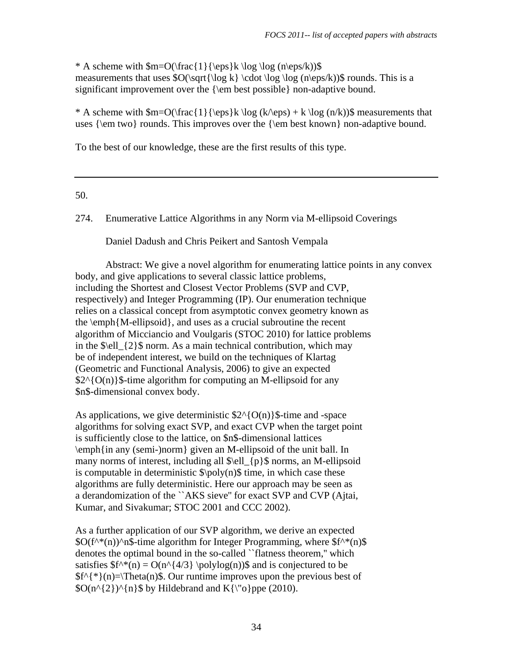\* A scheme with  $m=O(\frac{1}{\eps}k \log \log (n\eps/k))$ \$ measurements that uses  $O(\sqrt{\log k} \cdot \log \log (n\epsilon)$  (n)  $\$  rounds. This is a significant improvement over the {\em best possible} non-adaptive bound.

\* A scheme with  $m=O(\frac{1}{\epsilon}\k\log (k/\epsilon) + k \log (n/k))$  measurements that uses {\em two} rounds. This improves over the {\em best known} non-adaptive bound.

To the best of our knowledge, these are the first results of this type.

## 50.

274. Enumerative Lattice Algorithms in any Norm via M-ellipsoid Coverings

Daniel Dadush and Chris Peikert and Santosh Vempala

 Abstract: We give a novel algorithm for enumerating lattice points in any convex body, and give applications to several classic lattice problems, including the Shortest and Closest Vector Problems (SVP and CVP, respectively) and Integer Programming (IP). Our enumeration technique relies on a classical concept from asymptotic convex geometry known as the \emph{M-ellipsoid}, and uses as a crucial subroutine the recent algorithm of Micciancio and Voulgaris (STOC 2010) for lattice problems in the  $\ell_2$  \\ norm. As a main technical contribution, which may be of independent interest, we build on the techniques of Klartag (Geometric and Functional Analysis, 2006) to give an expected  $$2^{A}{}_{\Omega}$  {O(n)}\$-time algorithm for computing an M-ellipsoid for any \$n\$-dimensional convex body.

As applications, we give deterministic  $2^{(0)}(O(n))$  f-time and -space algorithms for solving exact SVP, and exact CVP when the target point is sufficiently close to the lattice, on \$n\$-dimensional lattices \emph{in any (semi-)norm} given an M-ellipsoid of the unit ball. In many norms of interest, including all  $\ell_1$  {p}\$ norms, an M-ellipsoid is computable in deterministic  $\pmb{\in}$  (n)  $\pmb{\in}$  time, in which case these algorithms are fully deterministic. Here our approach may be seen as a derandomization of the ``AKS sieve'' for exact SVP and CVP (Ajtai, Kumar, and Sivakumar; STOC 2001 and CCC 2002).

As a further application of our SVP algorithm, we derive an expected  $\text{SO}(f^{\wedge*}(n))$ <sup>n</sup> \$-time algorithm for Integer Programming, where  $f^{\wedge*}(n)$ \$ denotes the optimal bound in the so-called ``flatness theorem,'' which satisfies  $f^*(n) = O(n^{4/3} \polylog(n))$  and is conjectured to be  $f^{\Lambda}$ {\*}(n)=\Theta(n)\$. Our runtime improves upon the previous best of  $\text{SO}(n^{\{\frac{2}{\{n\}\}\ \text{by Hildebrand} \text{ and } K{\}}\$  (2010).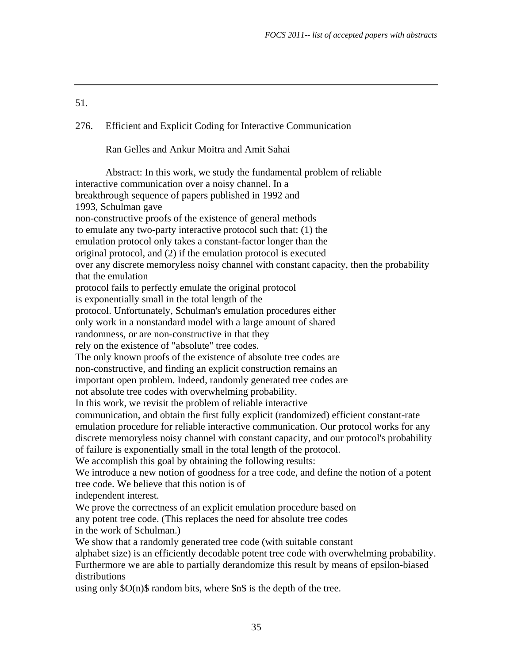## 276. Efficient and Explicit Coding for Interactive Communication

Ran Gelles and Ankur Moitra and Amit Sahai

 Abstract: In this work, we study the fundamental problem of reliable interactive communication over a noisy channel. In a breakthrough sequence of papers published in 1992 and 1993, Schulman gave non-constructive proofs of the existence of general methods to emulate any two-party interactive protocol such that: (1) the emulation protocol only takes a constant-factor longer than the original protocol, and (2) if the emulation protocol is executed over any discrete memoryless noisy channel with constant capacity, then the probability that the emulation protocol fails to perfectly emulate the original protocol is exponentially small in the total length of the protocol. Unfortunately, Schulman's emulation procedures either only work in a nonstandard model with a large amount of shared randomness, or are non-constructive in that they rely on the existence of "absolute" tree codes. The only known proofs of the existence of absolute tree codes are non-constructive, and finding an explicit construction remains an important open problem. Indeed, randomly generated tree codes are not absolute tree codes with overwhelming probability. In this work, we revisit the problem of reliable interactive communication, and obtain the first fully explicit (randomized) efficient constant-rate emulation procedure for reliable interactive communication. Our protocol works for any discrete memoryless noisy channel with constant capacity, and our protocol's probability of failure is exponentially small in the total length of the protocol. We accomplish this goal by obtaining the following results: We introduce a new notion of goodness for a tree code, and define the notion of a potent tree code. We believe that this notion is of independent interest. We prove the correctness of an explicit emulation procedure based on any potent tree code. (This replaces the need for absolute tree codes in the work of Schulman.) We show that a randomly generated tree code (with suitable constant alphabet size) is an efficiently decodable potent tree code with overwhelming probability. Furthermore we are able to partially derandomize this result by means of epsilon-biased distributions using only \$O(n)\$ random bits, where \$n\$ is the depth of the tree.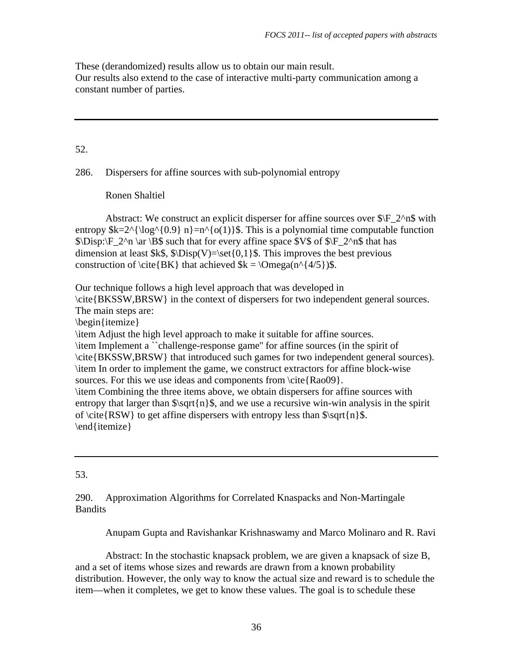These (derandomized) results allow us to obtain our main result. Our results also extend to the case of interactive multi-party communication among a constant number of parties.

# 52.

286. Dispersers for affine sources with sub-polynomial entropy

Ronen Shaltiel

Abstract: We construct an explicit disperser for affine sources over  $\beta$   $F_2^{\alpha}$  with entropy  $k=2^{\log^{0.9} n}=n^{\o(1)}$ . This is a polynomial time computable function  $\Disp:\ F\ 2^n \ar \B9s \text{ such that for every affine space } V\$  of  $\F\ 2^n \$  that has dimension at least  $k\$ ,  $\Disp(V)=\setminus set\{0,1\}$ . This improves the best previous construction of \cite{BK} that achieved  $k = \Omega(n^{4/5})\$ .

Our technique follows a high level approach that was developed in

\cite{BKSSW,BRSW} in the context of dispersers for two independent general sources. The main steps are:

\begin{itemize}

\item Adjust the high level approach to make it suitable for affine sources. \item Implement a ``challenge-response game'' for affine sources (in the spirit of \cite{BKSSW,BRSW} that introduced such games for two independent general sources). \item In order to implement the game, we construct extractors for affine block-wise sources. For this we use ideas and components from \cite{Rao09}. \item Combining the three items above, we obtain dispersers for affine sources with entropy that larger than  $\sqrt{\frac{n}{\mathcal{S}}}$ , and we use a recursive win-win analysis in the spirit of \cite{RSW} to get affine dispersers with entropy less than  $\sqrt{\n}$  \sqrt{n}\$.

\end{itemize}

## 53.

## 290. Approximation Algorithms for Correlated Knaspacks and Non-Martingale Bandits

Anupam Gupta and Ravishankar Krishnaswamy and Marco Molinaro and R. Ravi

 Abstract: In the stochastic knapsack problem, we are given a knapsack of size B, and a set of items whose sizes and rewards are drawn from a known probability distribution. However, the only way to know the actual size and reward is to schedule the item—when it completes, we get to know these values. The goal is to schedule these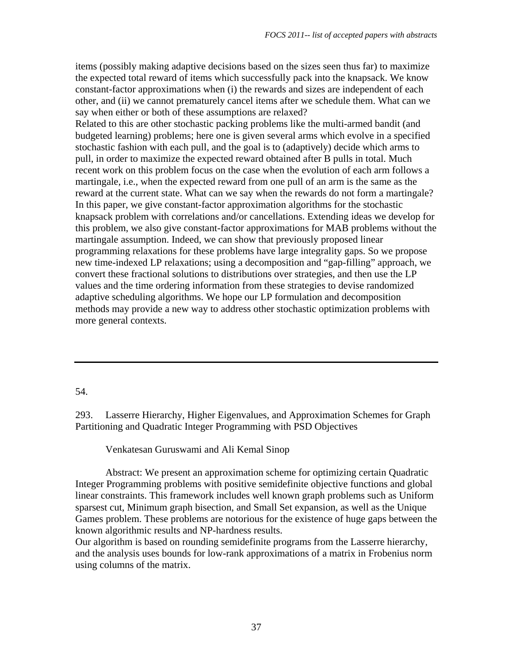items (possibly making adaptive decisions based on the sizes seen thus far) to maximize the expected total reward of items which successfully pack into the knapsack. We know constant-factor approximations when (i) the rewards and sizes are independent of each other, and (ii) we cannot prematurely cancel items after we schedule them. What can we say when either or both of these assumptions are relaxed?

Related to this are other stochastic packing problems like the multi-armed bandit (and budgeted learning) problems; here one is given several arms which evolve in a specified stochastic fashion with each pull, and the goal is to (adaptively) decide which arms to pull, in order to maximize the expected reward obtained after B pulls in total. Much recent work on this problem focus on the case when the evolution of each arm follows a martingale, i.e., when the expected reward from one pull of an arm is the same as the reward at the current state. What can we say when the rewards do not form a martingale? In this paper, we give constant-factor approximation algorithms for the stochastic knapsack problem with correlations and/or cancellations. Extending ideas we develop for this problem, we also give constant-factor approximations for MAB problems without the martingale assumption. Indeed, we can show that previously proposed linear programming relaxations for these problems have large integrality gaps. So we propose new time-indexed LP relaxations; using a decomposition and "gap-filling" approach, we convert these fractional solutions to distributions over strategies, and then use the LP values and the time ordering information from these strategies to devise randomized adaptive scheduling algorithms. We hope our LP formulation and decomposition methods may provide a new way to address other stochastic optimization problems with more general contexts.

## 54.

293. Lasserre Hierarchy, Higher Eigenvalues, and Approximation Schemes for Graph Partitioning and Quadratic Integer Programming with PSD Objectives

Venkatesan Guruswami and Ali Kemal Sinop

 Abstract: We present an approximation scheme for optimizing certain Quadratic Integer Programming problems with positive semidefinite objective functions and global linear constraints. This framework includes well known graph problems such as Uniform sparsest cut, Minimum graph bisection, and Small Set expansion, as well as the Unique Games problem. These problems are notorious for the existence of huge gaps between the known algorithmic results and NP-hardness results.

Our algorithm is based on rounding semidefinite programs from the Lasserre hierarchy, and the analysis uses bounds for low-rank approximations of a matrix in Frobenius norm using columns of the matrix.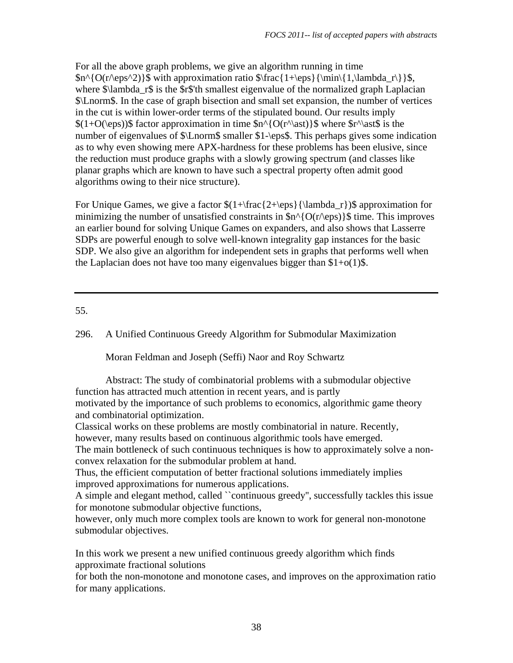For all the above graph problems, we give an algorithm running in time  $\frac{\O(r}{eps^2)}\$  with approximation ratio  $\frac{1+\epsilon}{\min\{1,\lambda_r\}}\$ , where  $\lambda$  ambda\_r\$ is the  $\frac{2}{3}$  is the station smallest eigenvalue of the normalized graph Laplacian \$\Lnorm\$. In the case of graph bisection and small set expansion, the number of vertices in the cut is within lower-order terms of the stipulated bound. Our results imply  $$(1+O(\epsilon))$$  factor approximation in time  $\{O(r^{\text{ast}})$  where  $r^{\text{ast}}$$  is the number of eigenvalues of \$\Lnorm\$ smaller \$1-\eps\$. This perhaps gives some indication as to why even showing mere APX-hardness for these problems has been elusive, since the reduction must produce graphs with a slowly growing spectrum (and classes like planar graphs which are known to have such a spectral property often admit good algorithms owing to their nice structure).

For Unique Games, we give a factor  $(1+\frac{2+\eps}{\lambda_r})\$  approximation for minimizing the number of unsatisfied constraints in  $\text{sn}^{\wedge}$  {O(r $\text{eps}$ )}\$ time. This improves an earlier bound for solving Unique Games on expanders, and also shows that Lasserre SDPs are powerful enough to solve well-known integrality gap instances for the basic SDP. We also give an algorithm for independent sets in graphs that performs well when the Laplacian does not have too many eigenvalues bigger than  $1+o(1)$ .

# 55.

296. A Unified Continuous Greedy Algorithm for Submodular Maximization

Moran Feldman and Joseph (Seffi) Naor and Roy Schwartz

 Abstract: The study of combinatorial problems with a submodular objective function has attracted much attention in recent years, and is partly motivated by the importance of such problems to economics, algorithmic game theory and combinatorial optimization.

Classical works on these problems are mostly combinatorial in nature. Recently, however, many results based on continuous algorithmic tools have emerged.

The main bottleneck of such continuous techniques is how to approximately solve a nonconvex relaxation for the submodular problem at hand.

Thus, the efficient computation of better fractional solutions immediately implies improved approximations for numerous applications.

A simple and elegant method, called ``continuous greedy'', successfully tackles this issue for monotone submodular objective functions,

however, only much more complex tools are known to work for general non-monotone submodular objectives.

In this work we present a new unified continuous greedy algorithm which finds approximate fractional solutions

for both the non-monotone and monotone cases, and improves on the approximation ratio for many applications.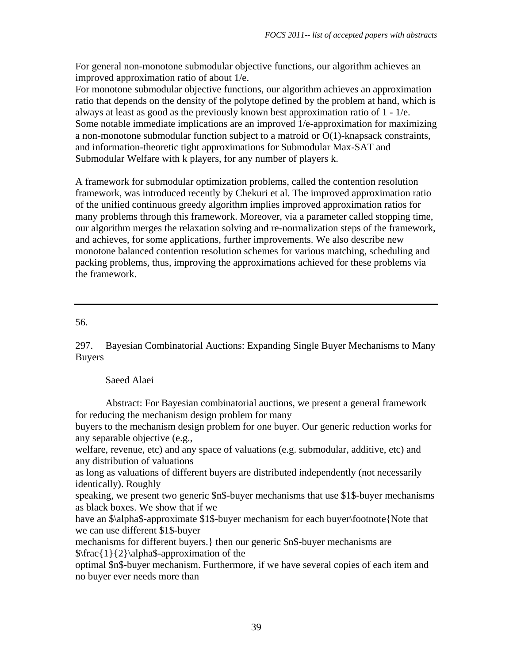For general non-monotone submodular objective functions, our algorithm achieves an improved approximation ratio of about 1/e.

For monotone submodular objective functions, our algorithm achieves an approximation ratio that depends on the density of the polytope defined by the problem at hand, which is always at least as good as the previously known best approximation ratio of 1 - 1/e. Some notable immediate implications are an improved 1/e-approximation for maximizing a non-monotone submodular function subject to a matroid or O(1)-knapsack constraints, and information-theoretic tight approximations for Submodular Max-SAT and Submodular Welfare with k players, for any number of players k.

A framework for submodular optimization problems, called the contention resolution framework, was introduced recently by Chekuri et al. The improved approximation ratio of the unified continuous greedy algorithm implies improved approximation ratios for many problems through this framework. Moreover, via a parameter called stopping time, our algorithm merges the relaxation solving and re-normalization steps of the framework, and achieves, for some applications, further improvements. We also describe new monotone balanced contention resolution schemes for various matching, scheduling and packing problems, thus, improving the approximations achieved for these problems via the framework.

56.

297. Bayesian Combinatorial Auctions: Expanding Single Buyer Mechanisms to Many Buyers

Saeed Alaei

 Abstract: For Bayesian combinatorial auctions, we present a general framework for reducing the mechanism design problem for many

buyers to the mechanism design problem for one buyer. Our generic reduction works for any separable objective (e.g.,

welfare, revenue, etc) and any space of valuations (e.g. submodular, additive, etc) and any distribution of valuations

as long as valuations of different buyers are distributed independently (not necessarily identically). Roughly

speaking, we present two generic \$n\$-buyer mechanisms that use \$1\$-buyer mechanisms as black boxes. We show that if we

have an  $\alpha\$ -approximate \$1\$-buyer mechanism for each buyer\footnote{Note that we can use different \$1\$-buyer

mechanisms for different buyers.} then our generic \$n\$-buyer mechanisms are  $\frac{1}{2}\alpha$ -approximation of the

optimal \$n\$-buyer mechanism. Furthermore, if we have several copies of each item and no buyer ever needs more than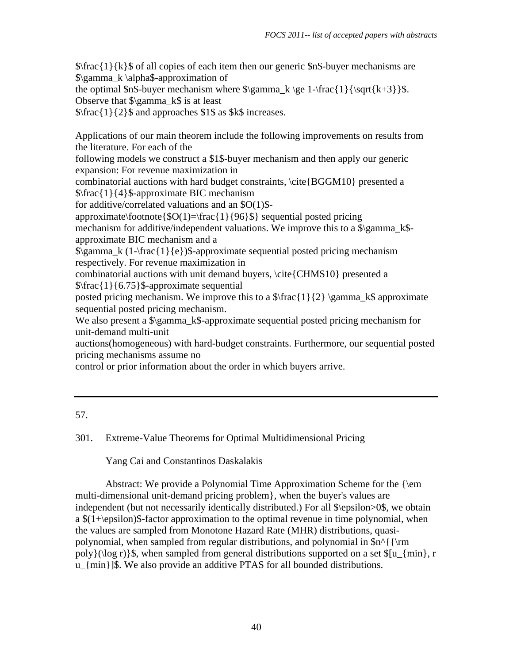$\frac{1}{k}\$  of all copies of each item then our generic  $\frac{1}{k}$ -buyer mechanisms are \$\gamma\_k \alpha\$-approximation of

the optimal  $\text{Sh}\$ -buyer mechanism where  $\gamma_k \ge 1-\frac{1}{\sqrt{k+3}}$ . Observe that  $\gamma$  k\$ is at least

\$\frac{1}{2}\$ and approaches \$1\$ as \$k\$ increases.

Applications of our main theorem include the following improvements on results from the literature. For each of the

following models we construct a \$1\$-buyer mechanism and then apply our generic expansion: For revenue maximization in

combinatorial auctions with hard budget constraints,  $\c{BGM10}$  presented a \$\frac{1}{4}\$-approximate BIC mechanism

for additive/correlated valuations and an \$O(1)\$-

approximate\footnote{ $\text{SO}(1)$ =\frac{1}{96}\$} sequential posted pricing

mechanism for additive/independent valuations. We improve this to a \$\gamma\_k\$approximate BIC mechanism and a

 $\gamma_k$  (1-\frac{1}{e})\$-approximate sequential posted pricing mechanism respectively. For revenue maximization in

combinatorial auctions with unit demand buyers, \cite{CHMS10} presented a  $\frac{1}{6.75}$ \$-approximate sequential

posted pricing mechanism. We improve this to a  $\frac{1}{2} \gamma_k \$  approximate sequential posted pricing mechanism.

We also present a  $\gamma_k$  approximate sequential posted pricing mechanism for unit-demand multi-unit

auctions(homogeneous) with hard-budget constraints. Furthermore, our sequential posted pricing mechanisms assume no

control or prior information about the order in which buyers arrive.

# 301. Extreme-Value Theorems for Optimal Multidimensional Pricing

Yang Cai and Constantinos Daskalakis

Abstract: We provide a Polynomial Time Approximation Scheme for the  $\{\text{em}$ multi-dimensional unit-demand pricing problem}, when the buyer's values are independent (but not necessarily identically distributed.) For all \$\epsilon>0\$, we obtain a  $(1+\epsilon)$  a set the polynomial, when a set of the optimal revenue in time polynomial, when the values are sampled from Monotone Hazard Rate (MHR) distributions, quasipolynomial, when sampled from regular distributions, and polynomial in  $\n<sup>\gamma</sup>{\rm cm}$ poly}(\log r)}\$, when sampled from general distributions supported on a set  $\lvert \sin \rvert$ , r u\_{min}]\$. We also provide an additive PTAS for all bounded distributions.

<sup>57.</sup>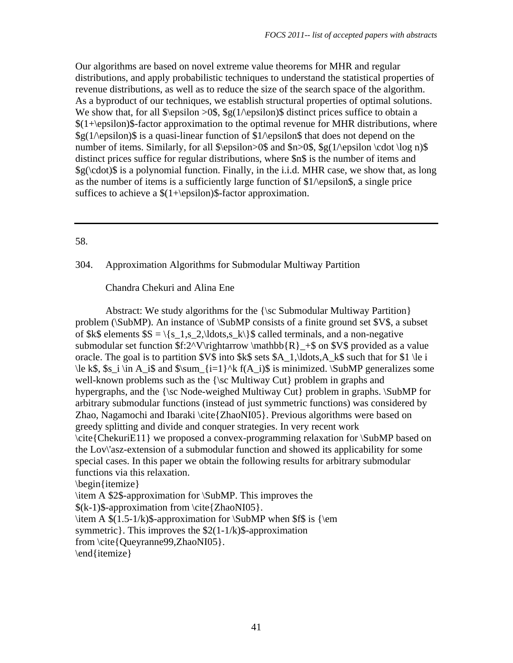Our algorithms are based on novel extreme value theorems for MHR and regular distributions, and apply probabilistic techniques to understand the statistical properties of revenue distributions, as well as to reduce the size of the search space of the algorithm. As a byproduct of our techniques, we establish structural properties of optimal solutions. We show that, for all  $\epsilon > 0$ \$, \$g(1\epsilon)\$ distinct prices suffice to obtain a  $$(1+\epsilon)$$  factor approximation to the optimal revenue for MHR distributions, where  $\frac{1}{2}$  (1/\epsilon)\$ is a quasi-linear function of \$1/\epsilon\$ that does not depend on the number of items. Similarly, for all  $\epsilon > 0$ \$ and  $n>0$ \$, \$g(1\epsilon \cdot \log n)\$ distinct prices suffice for regular distributions, where \$n\$ is the number of items and  $\gtrsim \langle \c{cdot}\rangle$  is a polynomial function. Finally, in the i.i.d. MHR case, we show that, as long as the number of items is a sufficiently large function of  $1$ / $\epsilon$ psilon\$, a single price suffices to achieve a  $$(1+\epsilon)$$ \$-factor approximation.

## 58.

## 304. Approximation Algorithms for Submodular Multiway Partition

## Chandra Chekuri and Alina Ene

 Abstract: We study algorithms for the {\sc Submodular Multiway Partition} problem (\SubMP). An instance of \SubMP consists of a finite ground set \$V\$, a subset of \$k\$ elements  $S = \{s_1, s_2, \ldots, s_k\}$  called terminals, and a non-negative submodular set function  $f:2^V\rightarrows thatbb{R}_{+\$}$  on  $V\$ g provided as a value oracle. The goal is to partition  $V\$  into  $k\$  sets  $A_1$ , ldots, A  $k\$  such that for  $1 \le i$  $\le k\$ ,  $s_i \in A_i\$  and  $\sum_{i=1}^k f(A_i)\$  is minimized.  $\SubMP$  generalizes some well-known problems such as the {\sc Multiway Cut} problem in graphs and hypergraphs, and the {\sc Node-weighed Multiway Cut} problem in graphs. \SubMP for arbitrary submodular functions (instead of just symmetric functions) was considered by Zhao, Nagamochi and Ibaraki \cite{ZhaoNI05}. Previous algorithms were based on greedy splitting and divide and conquer strategies. In very recent work \cite{ChekuriE11} we proposed a convex-programming relaxation for \SubMP based on the Lov\'asz-extension of a submodular function and showed its applicability for some special cases. In this paper we obtain the following results for arbitrary submodular functions via this relaxation. \begin{itemize}

\item A \$2\$-approximation for \SubMP. This improves the \$(k-1)\$-approximation from \cite{ZhaoNI05}. \item A  $$(1.5-1/k)$$ -approximation for \SubMP when  $$f$$  is {\em symmetric }. This improves the  $$2(1-1/k)$$ \$-approximation

from \cite{Queyranne99,ZhaoNI05}.

\end{itemize}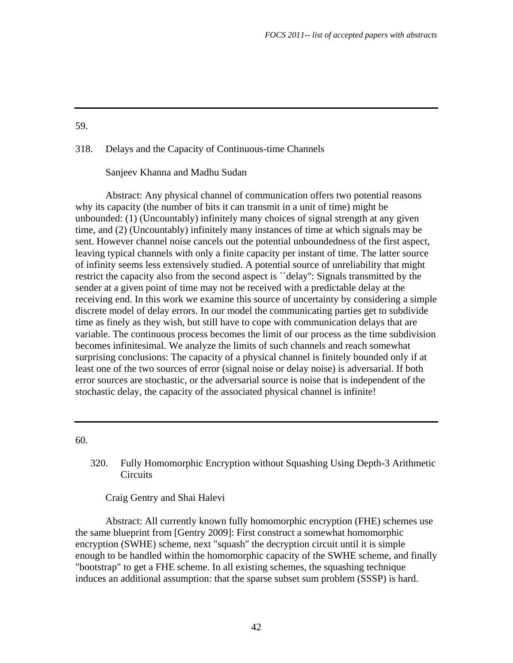#### 318. Delays and the Capacity of Continuous-time Channels

Sanjeev Khanna and Madhu Sudan

 Abstract: Any physical channel of communication offers two potential reasons why its capacity (the number of bits it can transmit in a unit of time) might be unbounded: (1) (Uncountably) infinitely many choices of signal strength at any given time, and (2) (Uncountably) infinitely many instances of time at which signals may be sent. However channel noise cancels out the potential unboundedness of the first aspect, leaving typical channels with only a finite capacity per instant of time. The latter source of infinity seems less extensively studied. A potential source of unreliability that might restrict the capacity also from the second aspect is ``delay'': Signals transmitted by the sender at a given point of time may not be received with a predictable delay at the receiving end. In this work we examine this source of uncertainty by considering a simple discrete model of delay errors. In our model the communicating parties get to subdivide time as finely as they wish, but still have to cope with communication delays that are variable. The continuous process becomes the limit of our process as the time subdivision becomes infinitesimal. We analyze the limits of such channels and reach somewhat surprising conclusions: The capacity of a physical channel is finitely bounded only if at least one of the two sources of error (signal noise or delay noise) is adversarial. If both error sources are stochastic, or the adversarial source is noise that is independent of the stochastic delay, the capacity of the associated physical channel is infinite!

60.

320. Fully Homomorphic Encryption without Squashing Using Depth-3 Arithmetic **Circuits** 

Craig Gentry and Shai Halevi

 Abstract: All currently known fully homomorphic encryption (FHE) schemes use the same blueprint from [Gentry 2009]: First construct a somewhat homomorphic encryption (SWHE) scheme, next "squash" the decryption circuit until it is simple enough to be handled within the homomorphic capacity of the SWHE scheme, and finally "bootstrap" to get a FHE scheme. In all existing schemes, the squashing technique induces an additional assumption: that the sparse subset sum problem (SSSP) is hard.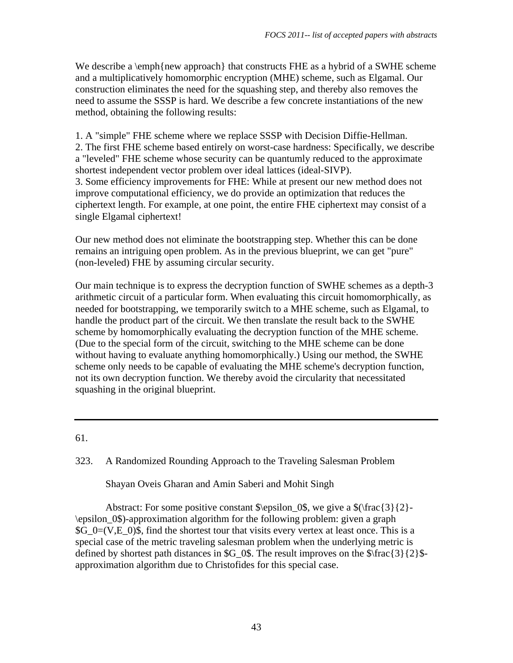We describe a  $\emptyset$  approach that constructs FHE as a hybrid of a SWHE scheme and a multiplicatively homomorphic encryption (MHE) scheme, such as Elgamal. Our construction eliminates the need for the squashing step, and thereby also removes the need to assume the SSSP is hard. We describe a few concrete instantiations of the new method, obtaining the following results:

1. A "simple" FHE scheme where we replace SSSP with Decision Diffie-Hellman. 2. The first FHE scheme based entirely on worst-case hardness: Specifically, we describe a "leveled" FHE scheme whose security can be quantumly reduced to the approximate shortest independent vector problem over ideal lattices (ideal-SIVP). 3. Some efficiency improvements for FHE: While at present our new method does not improve computational efficiency, we do provide an optimization that reduces the ciphertext length. For example, at one point, the entire FHE ciphertext may consist of a single Elgamal ciphertext!

Our new method does not eliminate the bootstrapping step. Whether this can be done remains an intriguing open problem. As in the previous blueprint, we can get "pure" (non-leveled) FHE by assuming circular security.

Our main technique is to express the decryption function of SWHE schemes as a depth-3 arithmetic circuit of a particular form. When evaluating this circuit homomorphically, as needed for bootstrapping, we temporarily switch to a MHE scheme, such as Elgamal, to handle the product part of the circuit. We then translate the result back to the SWHE scheme by homomorphically evaluating the decryption function of the MHE scheme. (Due to the special form of the circuit, switching to the MHE scheme can be done without having to evaluate anything homomorphically.) Using our method, the SWHE scheme only needs to be capable of evaluating the MHE scheme's decryption function, not its own decryption function. We thereby avoid the circularity that necessitated squashing in the original blueprint.

61.

323. A Randomized Rounding Approach to the Traveling Salesman Problem

Shayan Oveis Gharan and Amin Saberi and Mohit Singh

Abstract: For some positive constant  $\epsilon_0$  \epsilon 0\$, we give a  $(\frac{3}{2}-\epsilon_0)$ \epsilon\_0\$)-approximation algorithm for the following problem: given a graph  $\text{SG}$  0=(V,E 0)\$, find the shortest tour that visits every vertex at least once. This is a special case of the metric traveling salesman problem when the underlying metric is defined by shortest path distances in \$G\_0\$. The result improves on the  $\frac{\frac{3}{2}\{2\}}{2}$ approximation algorithm due to Christofides for this special case.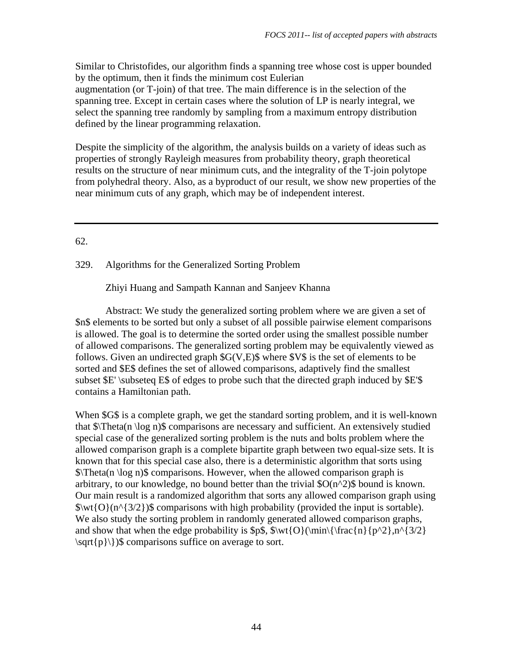Similar to Christofides, our algorithm finds a spanning tree whose cost is upper bounded by the optimum, then it finds the minimum cost Eulerian augmentation (or T-join) of that tree. The main difference is in the selection of the spanning tree. Except in certain cases where the solution of LP is nearly integral, we select the spanning tree randomly by sampling from a maximum entropy distribution defined by the linear programming relaxation.

Despite the simplicity of the algorithm, the analysis builds on a variety of ideas such as properties of strongly Rayleigh measures from probability theory, graph theoretical results on the structure of near minimum cuts, and the integrality of the T-join polytope from polyhedral theory. Also, as a byproduct of our result, we show new properties of the near minimum cuts of any graph, which may be of independent interest.

# 62.

# 329. Algorithms for the Generalized Sorting Problem

Zhiyi Huang and Sampath Kannan and Sanjeev Khanna

 Abstract: We study the generalized sorting problem where we are given a set of \$n\$ elements to be sorted but only a subset of all possible pairwise element comparisons is allowed. The goal is to determine the sorted order using the smallest possible number of allowed comparisons. The generalized sorting problem may be equivalently viewed as follows. Given an undirected graph \$G(V,E)\$ where \$V\$ is the set of elements to be sorted and \$E\$ defines the set of allowed comparisons, adaptively find the smallest subset \$E' \subseteq E\$ of edges to probe such that the directed graph induced by \$E'\$ contains a Hamiltonian path.

When \$G\$ is a complete graph, we get the standard sorting problem, and it is well-known that \$\Theta(n \log n)\$ comparisons are necessary and sufficient. An extensively studied special case of the generalized sorting problem is the nuts and bolts problem where the allowed comparison graph is a complete bipartite graph between two equal-size sets. It is known that for this special case also, there is a deterministic algorithm that sorts using  $\frac{\pi}{a}$  Theta(n \log n)\$ comparisons. However, when the allowed comparison graph is arbitrary, to our knowledge, no bound better than the trivial  $\text{SO}(n^2)$ \$ bound is known. Our main result is a randomized algorithm that sorts any allowed comparison graph using  $\wedge \wedge \{O\}(n^{\prime}3/2)\$  comparisons with high probability (provided the input is sortable). We also study the sorting problem in randomly generated allowed comparison graphs, and show that when the edge probability is \$p\$,  $\wt{O}(\min{\frac{n}{p^2},n^3/2})$  $\sqrt{p}\}\$  comparisons suffice on average to sort.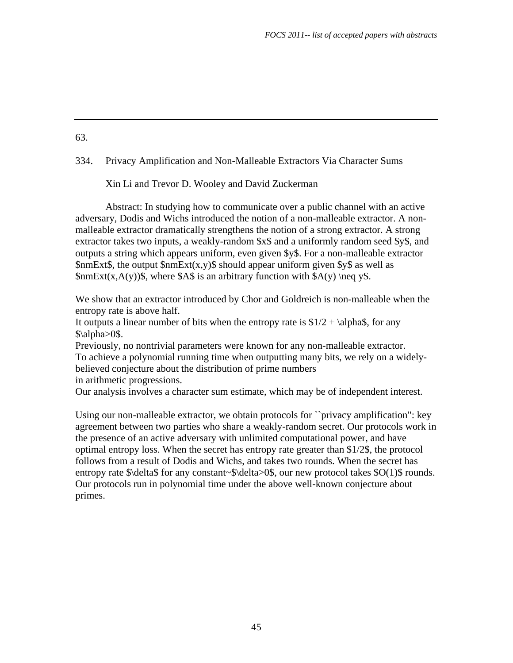#### 334. Privacy Amplification and Non-Malleable Extractors Via Character Sums

Xin Li and Trevor D. Wooley and David Zuckerman

 Abstract: In studying how to communicate over a public channel with an active adversary, Dodis and Wichs introduced the notion of a non-malleable extractor. A nonmalleable extractor dramatically strengthens the notion of a strong extractor. A strong extractor takes two inputs, a weakly-random \$x\$ and a uniformly random seed \$y\$, and outputs a string which appears uniform, even given \$y\$. For a non-malleable extractor  $$nmExt$$ , the output  $$nmExt(x,y)$$  should appear uniform given \$y\$ as well as  $\text{SmExt}(x, A(y))\$ , where \$A\$ is an arbitrary function with \$A(y) \neq y\$.

We show that an extractor introduced by Chor and Goldreich is non-malleable when the entropy rate is above half.

It outputs a linear number of bits when the entropy rate is  $\frac{1}{2} + \alpha$ , for any  $\lambda>0\$ .

Previously, no nontrivial parameters were known for any non-malleable extractor. To achieve a polynomial running time when outputting many bits, we rely on a widelybelieved conjecture about the distribution of prime numbers in arithmetic progressions.

Our analysis involves a character sum estimate, which may be of independent interest.

Using our non-malleable extractor, we obtain protocols for ``privacy amplification": key agreement between two parties who share a weakly-random secret. Our protocols work in the presence of an active adversary with unlimited computational power, and have optimal entropy loss. When the secret has entropy rate greater than \$1/2\$, the protocol follows from a result of Dodis and Wichs, and takes two rounds. When the secret has entropy rate  $\delta$  delta\$ for any constant~\$\delta>0\$, our new protocol takes \$O(1)\$ rounds. Our protocols run in polynomial time under the above well-known conjecture about primes.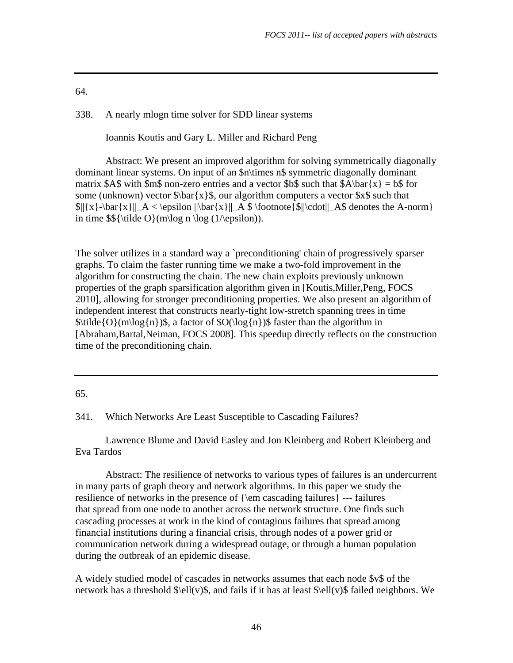338. A nearly mlogn time solver for SDD linear systems

Ioannis Koutis and Gary L. Miller and Richard Peng

 Abstract: We present an improved algorithm for solving symmetrically diagonally dominant linear systems. On input of an \$n\times n\$ symmetric diagonally dominant matrix \$A\$ with \$m\$ non-zero entries and a vector \$b\$ such that  $A\bar{x} = b$  for some (unknown) vector  $\bar{x}$  are  $\bar{x}$ , our algorithm computers a vector  $x \$  such that  $\|x\-\bar{x}\|_A < \epsilon\$  ||\bar{x}||\_A \$ \footnote{ $\| \cdot \|$  A\$ denotes the A-norm} in time  $\$\{\tilde O\}(m\log n \log (1/\epsilon)).$ 

The solver utilizes in a standard way a `preconditioning' chain of progressively sparser graphs. To claim the faster running time we make a two-fold improvement in the algorithm for constructing the chain. The new chain exploits previously unknown properties of the graph sparsification algorithm given in [Koutis,Miller,Peng, FOCS 2010], allowing for stronger preconditioning properties. We also present an algorithm of independent interest that constructs nearly-tight low-stretch spanning trees in time  $\tilde{\O}(\frac{n}{\log{n}})$ , a factor of  $\O(\log{n})$  faster than the algorithm in [Abraham,Bartal,Neiman, FOCS 2008]. This speedup directly reflects on the construction time of the preconditioning chain.

## 65.

341. Which Networks Are Least Susceptible to Cascading Failures?

 Lawrence Blume and David Easley and Jon Kleinberg and Robert Kleinberg and Eva Tardos

 Abstract: The resilience of networks to various types of failures is an undercurrent in many parts of graph theory and network algorithms. In this paper we study the resilience of networks in the presence of {\em cascading failures} --- failures that spread from one node to another across the network structure. One finds such cascading processes at work in the kind of contagious failures that spread among financial institutions during a financial crisis, through nodes of a power grid or communication network during a widespread outage, or through a human population during the outbreak of an epidemic disease.

A widely studied model of cascades in networks assumes that each node \$v\$ of the network has a threshold  $\ell(v)$ \$, and fails if it has at least  $\ell(v)$ \$ failed neighbors. We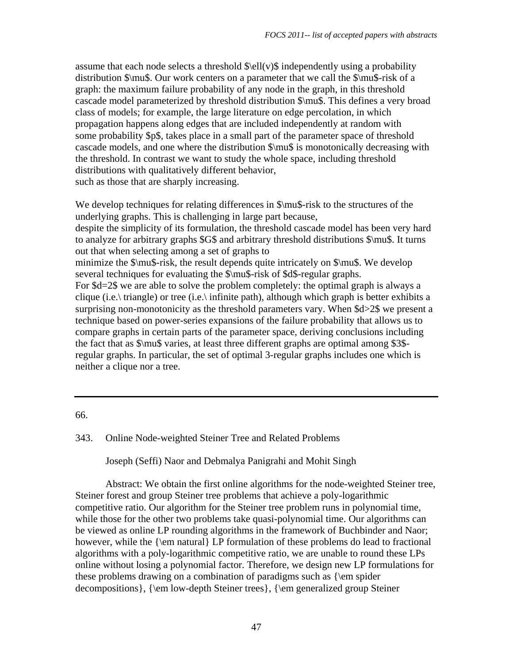assume that each node selects a threshold  $\ell(v)$  independently using a probability distribution \$\mu\$. Our work centers on a parameter that we call the \$\mu\$-risk of a graph: the maximum failure probability of any node in the graph, in this threshold cascade model parameterized by threshold distribution \$\mu\$. This defines a very broad class of models; for example, the large literature on edge percolation, in which propagation happens along edges that are included independently at random with some probability \$p\$, takes place in a small part of the parameter space of threshold cascade models, and one where the distribution \$\mu\$ is monotonically decreasing with the threshold. In contrast we want to study the whole space, including threshold distributions with qualitatively different behavior, such as those that are sharply increasing.

We develop techniques for relating differences in  $\mu$ s-risk to the structures of the underlying graphs. This is challenging in large part because, despite the simplicity of its formulation, the threshold cascade model has been very hard to analyze for arbitrary graphs \$G\$ and arbitrary threshold distributions \$\mu\$. It turns out that when selecting among a set of graphs to minimize the \$\mu\$-risk, the result depends quite intricately on \$\mu\$. We develop several techniques for evaluating the \$\mu\$-risk of \$d\$-regular graphs. For \$d=2\$ we are able to solve the problem completely: the optimal graph is always a clique (i.e.\ triangle) or tree (i.e.\ infinite path), although which graph is better exhibits a surprising non-monotonicity as the threshold parameters vary. When \$d>2\$ we present a technique based on power-series expansions of the failure probability that allows us to compare graphs in certain parts of the parameter space, deriving conclusions including the fact that as \$\mu\$ varies, at least three different graphs are optimal among \$3\$ regular graphs. In particular, the set of optimal 3-regular graphs includes one which is neither a clique nor a tree.

66.

343. Online Node-weighted Steiner Tree and Related Problems

Joseph (Seffi) Naor and Debmalya Panigrahi and Mohit Singh

 Abstract: We obtain the first online algorithms for the node-weighted Steiner tree, Steiner forest and group Steiner tree problems that achieve a poly-logarithmic competitive ratio. Our algorithm for the Steiner tree problem runs in polynomial time, while those for the other two problems take quasi-polynomial time. Our algorithms can be viewed as online LP rounding algorithms in the framework of Buchbinder and Naor; however, while the {\em natural} LP formulation of these problems do lead to fractional algorithms with a poly-logarithmic competitive ratio, we are unable to round these LPs online without losing a polynomial factor. Therefore, we design new LP formulations for these problems drawing on a combination of paradigms such as {\em spider decompositions}, {\em low-depth Steiner trees}, {\em generalized group Steiner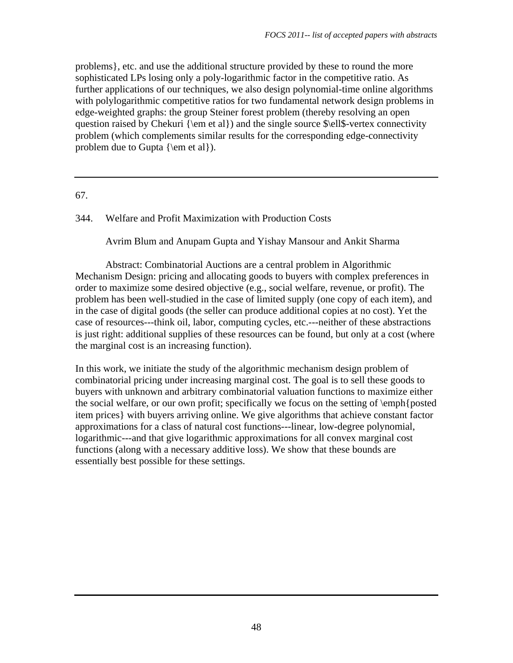problems}, etc. and use the additional structure provided by these to round the more sophisticated LPs losing only a poly-logarithmic factor in the competitive ratio. As further applications of our techniques, we also design polynomial-time online algorithms with polylogarithmic competitive ratios for two fundamental network design problems in edge-weighted graphs: the group Steiner forest problem (thereby resolving an open question raised by Chekuri {\em et al}) and the single source \$\ell\$-vertex connectivity problem (which complements similar results for the corresponding edge-connectivity problem due to Gupta  $\{\text{el}\}.$ 

# 67.

344. Welfare and Profit Maximization with Production Costs

Avrim Blum and Anupam Gupta and Yishay Mansour and Ankit Sharma

 Abstract: Combinatorial Auctions are a central problem in Algorithmic Mechanism Design: pricing and allocating goods to buyers with complex preferences in order to maximize some desired objective (e.g., social welfare, revenue, or profit). The problem has been well-studied in the case of limited supply (one copy of each item), and in the case of digital goods (the seller can produce additional copies at no cost). Yet the case of resources---think oil, labor, computing cycles, etc.---neither of these abstractions is just right: additional supplies of these resources can be found, but only at a cost (where the marginal cost is an increasing function).

In this work, we initiate the study of the algorithmic mechanism design problem of combinatorial pricing under increasing marginal cost. The goal is to sell these goods to buyers with unknown and arbitrary combinatorial valuation functions to maximize either the social welfare, or our own profit; specifically we focus on the setting of \emph{posted item prices} with buyers arriving online. We give algorithms that achieve constant factor approximations for a class of natural cost functions---linear, low-degree polynomial, logarithmic---and that give logarithmic approximations for all convex marginal cost functions (along with a necessary additive loss). We show that these bounds are essentially best possible for these settings.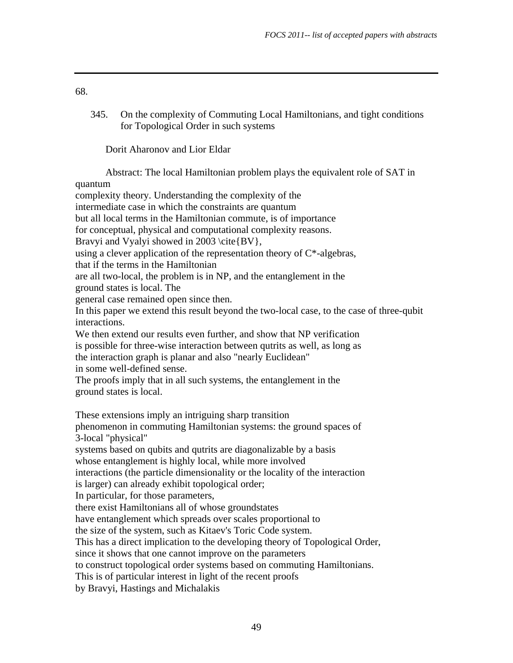345. On the complexity of Commuting Local Hamiltonians, and tight conditions for Topological Order in such systems

Dorit Aharonov and Lior Eldar

 Abstract: The local Hamiltonian problem plays the equivalent role of SAT in quantum complexity theory. Understanding the complexity of the intermediate case in which the constraints are quantum but all local terms in the Hamiltonian commute, is of importance for conceptual, physical and computational complexity reasons. Bravyi and Vyalyi showed in 2003 \cite{BV}, using a clever application of the representation theory of  $C^*$ -algebras, that if the terms in the Hamiltonian are all two-local, the problem is in NP, and the entanglement in the ground states is local. The general case remained open since then. In this paper we extend this result beyond the two-local case, to the case of three-qubit interactions. We then extend our results even further, and show that NP verification is possible for three-wise interaction between qutrits as well, as long as the interaction graph is planar and also "nearly Euclidean" in some well-defined sense. The proofs imply that in all such systems, the entanglement in the ground states is local. These extensions imply an intriguing sharp transition phenomenon in commuting Hamiltonian systems: the ground spaces of 3-local "physical" systems based on qubits and qutrits are diagonalizable by a basis whose entanglement is highly local, while more involved interactions (the particle dimensionality or the locality of the interaction is larger) can already exhibit topological order; In particular, for those parameters, there exist Hamiltonians all of whose groundstates have entanglement which spreads over scales proportional to the size of the system, such as Kitaev's Toric Code system. This has a direct implication to the developing theory of Topological Order, since it shows that one cannot improve on the parameters to construct topological order systems based on commuting Hamiltonians. This is of particular interest in light of the recent proofs by Bravyi, Hastings and Michalakis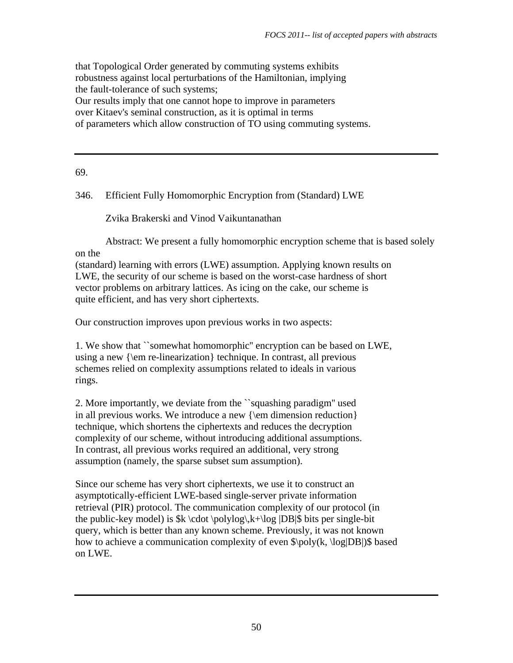that Topological Order generated by commuting systems exhibits robustness against local perturbations of the Hamiltonian, implying the fault-tolerance of such systems; Our results imply that one cannot hope to improve in parameters over Kitaev's seminal construction, as it is optimal in terms of parameters which allow construction of TO using commuting systems.

69.

346. Efficient Fully Homomorphic Encryption from (Standard) LWE

Zvika Brakerski and Vinod Vaikuntanathan

 Abstract: We present a fully homomorphic encryption scheme that is based solely on the

(standard) learning with errors (LWE) assumption. Applying known results on LWE, the security of our scheme is based on the worst-case hardness of short vector problems on arbitrary lattices. As icing on the cake, our scheme is quite efficient, and has very short ciphertexts.

Our construction improves upon previous works in two aspects:

1. We show that ``somewhat homomorphic'' encryption can be based on LWE, using a new {\em re-linearization} technique. In contrast, all previous schemes relied on complexity assumptions related to ideals in various rings.

2. More importantly, we deviate from the ``squashing paradigm'' used in all previous works. We introduce a new {\em dimension reduction} technique, which shortens the ciphertexts and reduces the decryption complexity of our scheme, without introducing additional assumptions. In contrast, all previous works required an additional, very strong assumption (namely, the sparse subset sum assumption).

Since our scheme has very short ciphertexts, we use it to construct an asymptotically-efficient LWE-based single-server private information retrieval (PIR) protocol. The communication complexity of our protocol (in the public-key model) is  $k \cdot \text{polylog}(k+1)$  [DB|\$ bits per single-bit query, which is better than any known scheme. Previously, it was not known how to achieve a communication complexity of even  $\pmb{\times}$  |poly(k, \log|DB|)\$ based on LWE.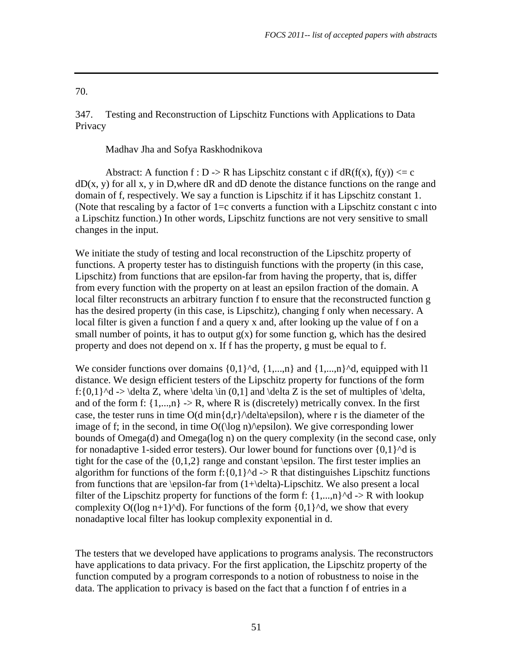347. Testing and Reconstruction of Lipschitz Functions with Applications to Data Privacy

Madhav Jha and Sofya Raskhodnikova

Abstract: A function  $f : D \rightarrow R$  has Lipschitz constant c if dR(f(x), f(y))  $\leq c$  $dD(x, y)$  for all x, y in D, where dR and dD denote the distance functions on the range and domain of f, respectively. We say a function is Lipschitz if it has Lipschitz constant 1. (Note that rescaling by a factor of  $1=c$  converts a function with a Lipschitz constant c into a Lipschitz function.) In other words, Lipschitz functions are not very sensitive to small changes in the input.

We initiate the study of testing and local reconstruction of the Lipschitz property of functions. A property tester has to distinguish functions with the property (in this case, Lipschitz) from functions that are epsilon-far from having the property, that is, differ from every function with the property on at least an epsilon fraction of the domain. A local filter reconstructs an arbitrary function f to ensure that the reconstructed function g has the desired property (in this case, is Lipschitz), changing f only when necessary. A local filter is given a function f and a query x and, after looking up the value of f on a small number of points, it has to output  $g(x)$  for some function g, which has the desired property and does not depend on x. If f has the property, g must be equal to f.

We consider functions over domains  $\{0,1\}^{\wedge}d$ ,  $\{1,...,n\}$  and  $\{1,...,n\}^{\wedge}d$ , equipped with l1 distance. We design efficient testers of the Lipschitz property for functions of the form f: $\{0,1\}^d$  -> \delta Z, where \delta \in  $(0,1]$  and \delta Z is the set of multiples of \delta, and of the form f:  $\{1,...,n\}$  -> R, where R is (discretely) metrically convex. In the first case, the tester runs in time  $O(d \min\{d, r\})$  delta $\epsilon$ epsilon), where r is the diameter of the image of f; in the second, in time  $O((\log n)/\epsilon)$ . We give corresponding lower bounds of Omega(d) and Omega(log n) on the query complexity (in the second case, only for nonadaptive 1-sided error testers). Our lower bound for functions over  $\{0,1\}^{\wedge}d$  is tight for the case of the  $\{0,1,2\}$  range and constant \epsilon. The first tester implies an algorithm for functions of the form f: $\{0,1\}^{\wedge}d \rightarrow R$  that distinguishes Lipschitz functions from functions that are \epsilon-far from (1+\delta)-Lipschitz. We also present a local filter of the Lipschitz property for functions of the form f:  $\{1,...,n\}^d$  -> R with lookup complexity O((log n+1)^d). For functions of the form  $\{0,1\}$ ^d, we show that every nonadaptive local filter has lookup complexity exponential in d.

The testers that we developed have applications to programs analysis. The reconstructors have applications to data privacy. For the first application, the Lipschitz property of the function computed by a program corresponds to a notion of robustness to noise in the data. The application to privacy is based on the fact that a function f of entries in a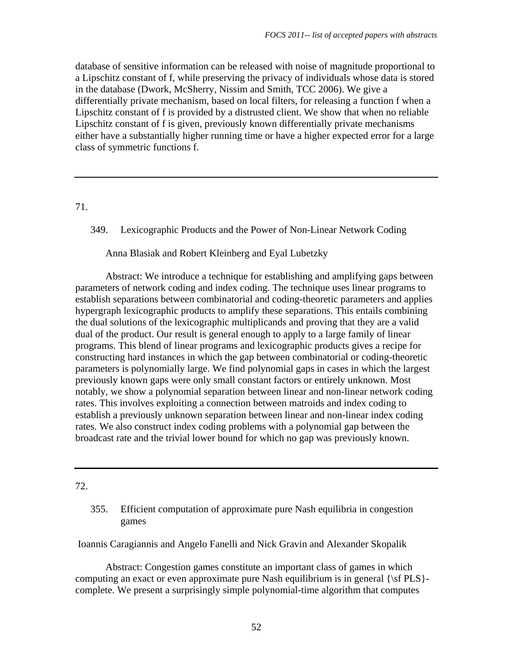database of sensitive information can be released with noise of magnitude proportional to a Lipschitz constant of f, while preserving the privacy of individuals whose data is stored in the database (Dwork, McSherry, Nissim and Smith, TCC 2006). We give a differentially private mechanism, based on local filters, for releasing a function f when a Lipschitz constant of f is provided by a distrusted client. We show that when no reliable Lipschitz constant of f is given, previously known differentially private mechanisms either have a substantially higher running time or have a higher expected error for a large class of symmetric functions f.

71.

349. Lexicographic Products and the Power of Non-Linear Network Coding

# Anna Blasiak and Robert Kleinberg and Eyal Lubetzky

 Abstract: We introduce a technique for establishing and amplifying gaps between parameters of network coding and index coding. The technique uses linear programs to establish separations between combinatorial and coding-theoretic parameters and applies hypergraph lexicographic products to amplify these separations. This entails combining the dual solutions of the lexicographic multiplicands and proving that they are a valid dual of the product. Our result is general enough to apply to a large family of linear programs. This blend of linear programs and lexicographic products gives a recipe for constructing hard instances in which the gap between combinatorial or coding-theoretic parameters is polynomially large. We find polynomial gaps in cases in which the largest previously known gaps were only small constant factors or entirely unknown. Most notably, we show a polynomial separation between linear and non-linear network coding rates. This involves exploiting a connection between matroids and index coding to establish a previously unknown separation between linear and non-linear index coding rates. We also construct index coding problems with a polynomial gap between the broadcast rate and the trivial lower bound for which no gap was previously known.

#### 72.

355. Efficient computation of approximate pure Nash equilibria in congestion games

Ioannis Caragiannis and Angelo Fanelli and Nick Gravin and Alexander Skopalik

 Abstract: Congestion games constitute an important class of games in which computing an exact or even approximate pure Nash equilibrium is in general  ${\sf PLS}$ complete. We present a surprisingly simple polynomial-time algorithm that computes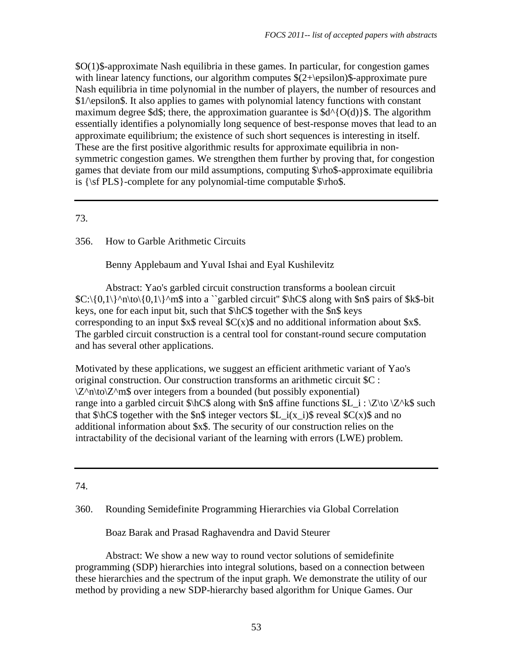\$O(1)\$-approximate Nash equilibria in these games. In particular, for congestion games with linear latency functions, our algorithm computes  $$(2+\epsilon)$$  silon)\$-approximate pure Nash equilibria in time polynomial in the number of players, the number of resources and \$1/\epsilon\$. It also applies to games with polynomial latency functions with constant maximum degree \$d\$; there, the approximation guarantee is  $d^{(0)}(0)$ \$. The algorithm essentially identifies a polynomially long sequence of best-response moves that lead to an approximate equilibrium; the existence of such short sequences is interesting in itself. These are the first positive algorithmic results for approximate equilibria in nonsymmetric congestion games. We strengthen them further by proving that, for congestion games that deviate from our mild assumptions, computing \$\rho\$-approximate equilibria is  $\{\sf PLS\}-complete for any polynomial-time computable \$ \r{nb$ .

# 73.

# 356. How to Garble Arithmetic Circuits

Benny Applebaum and Yuval Ishai and Eyal Kushilevitz

 Abstract: Yao's garbled circuit construction transforms a boolean circuit  $C:\{0,1\}^n\to\{0,1\}^m\$  into a ``garbled circuit''  $\hbox{NCS}$  along with  $\hbox{SBS}$  pairs of  $\hbox{SKS-bit}$ keys, one for each input bit, such that \$\hC\$ together with the \$n\$ keys corresponding to an input  $x\$  reveal  $C(x)\$  and no additional information about  $x\$ The garbled circuit construction is a central tool for constant-round secure computation and has several other applications.

Motivated by these applications, we suggest an efficient arithmetic variant of Yao's original construction. Our construction transforms an arithmetic circuit \$C :  $\Z^n\hbox{Nto}\Z^n$  over integers from a bounded (but possibly exponential) range into a garbled circuit  $\hbox{hCS}$  along with  $\hbox{shS}$  affine functions  $L_i : \Z\to \Z'\$ s such that  $\frac{\cosh C}{\cosh C}$  together with the  $\frac{\cosh C}{\cosh C}$  integer vectors  $\frac{\cosh C}{\cosh C}$  i(x i)  $\frac{\cosh C}{\cosh C}$  reveal  $\frac{\cosh C}{\cosh C}$  and no additional information about \$x\$. The security of our construction relies on the intractability of the decisional variant of the learning with errors (LWE) problem.

## 74.

## 360. Rounding Semidefinite Programming Hierarchies via Global Correlation

Boaz Barak and Prasad Raghavendra and David Steurer

 Abstract: We show a new way to round vector solutions of semidefinite programming (SDP) hierarchies into integral solutions, based on a connection between these hierarchies and the spectrum of the input graph. We demonstrate the utility of our method by providing a new SDP-hierarchy based algorithm for Unique Games. Our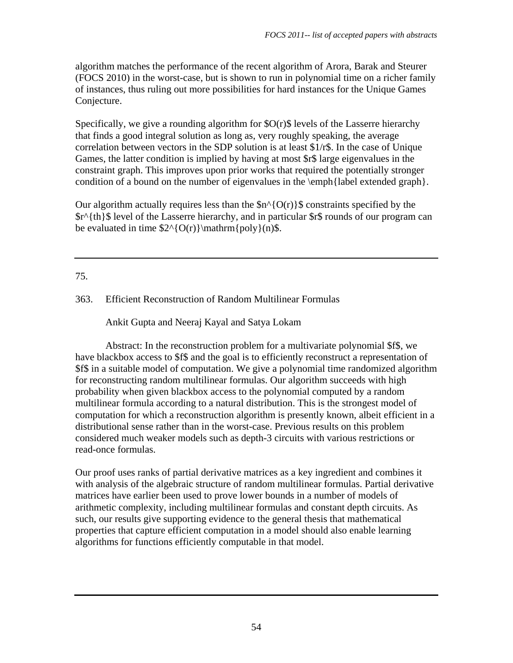algorithm matches the performance of the recent algorithm of Arora, Barak and Steurer (FOCS 2010) in the worst-case, but is shown to run in polynomial time on a richer family of instances, thus ruling out more possibilities for hard instances for the Unique Games Conjecture.

Specifically, we give a rounding algorithm for  $O(r)$  levels of the Lasserre hierarchy that finds a good integral solution as long as, very roughly speaking, the average correlation between vectors in the SDP solution is at least \$1/r\$. In the case of Unique Games, the latter condition is implied by having at most \$r\$ large eigenvalues in the constraint graph. This improves upon prior works that required the potentially stronger condition of a bound on the number of eigenvalues in the \emph{label extended graph}.

Our algorithm actually requires less than the  $\text{sn}^{\wedge}$ {O(r)}\$ constraints specified by the \$r^{th}\$ level of the Lasserre hierarchy, and in particular \$r\$ rounds of our program can be evaluated in time  $2^{O(r)}\mathrm{poly}(n)\$ .

# 75.

# 363. Efficient Reconstruction of Random Multilinear Formulas

Ankit Gupta and Neeraj Kayal and Satya Lokam

 Abstract: In the reconstruction problem for a multivariate polynomial \$f\$, we have blackbox access to \$f\$ and the goal is to efficiently reconstruct a representation of \$f\$ in a suitable model of computation. We give a polynomial time randomized algorithm for reconstructing random multilinear formulas. Our algorithm succeeds with high probability when given blackbox access to the polynomial computed by a random multilinear formula according to a natural distribution. This is the strongest model of computation for which a reconstruction algorithm is presently known, albeit efficient in a distributional sense rather than in the worst-case. Previous results on this problem considered much weaker models such as depth-3 circuits with various restrictions or read-once formulas.

Our proof uses ranks of partial derivative matrices as a key ingredient and combines it with analysis of the algebraic structure of random multilinear formulas. Partial derivative matrices have earlier been used to prove lower bounds in a number of models of arithmetic complexity, including multilinear formulas and constant depth circuits. As such, our results give supporting evidence to the general thesis that mathematical properties that capture efficient computation in a model should also enable learning algorithms for functions efficiently computable in that model.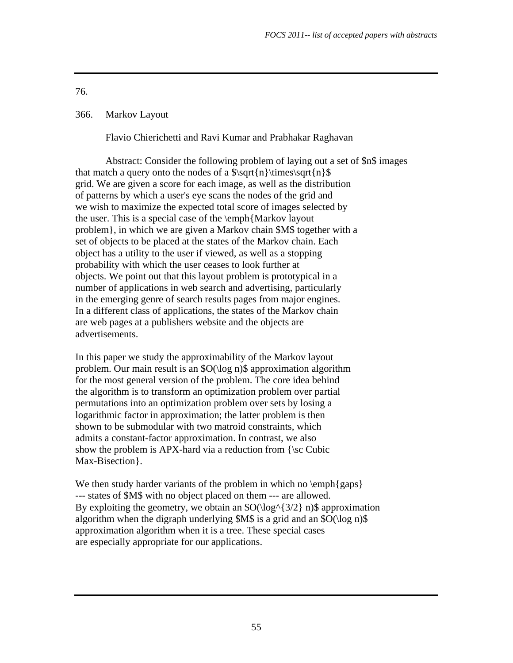# 366. Markov Layout

Flavio Chierichetti and Ravi Kumar and Prabhakar Raghavan

 Abstract: Consider the following problem of laying out a set of \$n\$ images that match a query onto the nodes of a  $\sqrt{n}\times\sqrt{n}$ grid. We are given a score for each image, as well as the distribution of patterns by which a user's eye scans the nodes of the grid and we wish to maximize the expected total score of images selected by the user. This is a special case of the \emph{Markov layout problem}, in which we are given a Markov chain \$M\$ together with a set of objects to be placed at the states of the Markov chain. Each object has a utility to the user if viewed, as well as a stopping probability with which the user ceases to look further at objects. We point out that this layout problem is prototypical in a number of applications in web search and advertising, particularly in the emerging genre of search results pages from major engines. In a different class of applications, the states of the Markov chain are web pages at a publishers website and the objects are advertisements.

In this paper we study the approximability of the Markov layout problem. Our main result is an \$O(\log n)\$ approximation algorithm for the most general version of the problem. The core idea behind the algorithm is to transform an optimization problem over partial permutations into an optimization problem over sets by losing a logarithmic factor in approximation; the latter problem is then shown to be submodular with two matroid constraints, which admits a constant-factor approximation. In contrast, we also show the problem is APX-hard via a reduction from  $\{\s c$  Cubic Max-Bisection}.

We then study harder variants of the problem in which no  $\emph{gaps}$ --- states of \$M\$ with no object placed on them --- are allowed. By exploiting the geometry, we obtain an  $\mathcal{S}O(\log^{3}/3/2)$  n) \$ approximation algorithm when the digraph underlying  $M\$  is a grid and an  $O(\log n)$ approximation algorithm when it is a tree. These special cases are especially appropriate for our applications.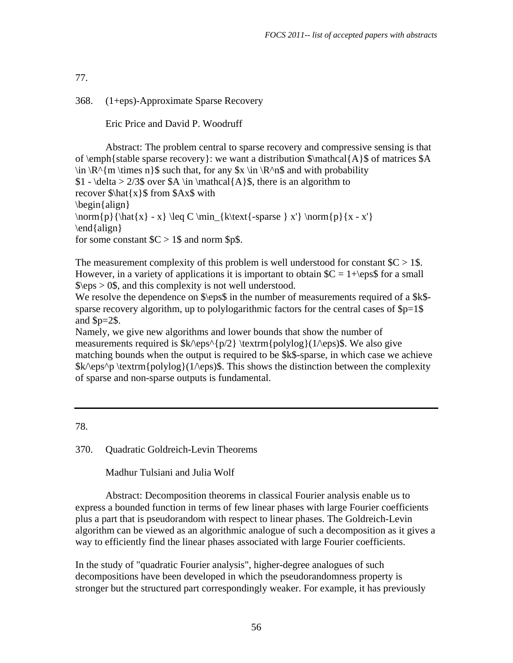368. (1+eps)-Approximate Sparse Recovery

Eric Price and David P. Woodruff

 Abstract: The problem central to sparse recovery and compressive sensing is that of  $\emph{stable sparse recovery}$ : we want a distribution  $\mathcal{A}\$  of matrices \$A  $\in \R^{\n<sup>n</sup>}$  \times n}\$ such that, for any \$x \in \R^n\$ and with probability \$1 - \delta > 2/3\$ over \$A \in \mathcal{A}\$, there is an algorithm to recover \$\hat{x}\$ from \$Ax\$ with \begin{align} \norm{p}{\hat{x} - x} \leq C \min\_{k\text{-sparse } x'} \norm{p}{x - x'} \end{align} for some constant  $C > 1$ \$ and norm \$p\$.

The measurement complexity of this problem is well understood for constant  $C > 1$ \$. However, in a variety of applications it is important to obtain  $C = 1 + \epsilon$  for a small  $\epsilon > 0$ \$, and this complexity is not well understood.

We resolve the dependence on  $\epsilon$  in the number of measurements required of a  $k$ sparse recovery algorithm, up to polylogarithmic factors for the central cases of  $p=1$ and  $p=2$ \$.

Namely, we give new algorithms and lower bounds that show the number of measurements required is  $k/\epsilon^{p/2} \text{polylog}(1/\epsilon)$ . We also give matching bounds when the output is required to be \$k\$-sparse, in which case we achieve  $\kappa\$ eps^p \textrm{polylog}(1/\eps)\$. This shows the distinction between the complexity of sparse and non-sparse outputs is fundamental.

78.

370. Quadratic Goldreich-Levin Theorems

Madhur Tulsiani and Julia Wolf

 Abstract: Decomposition theorems in classical Fourier analysis enable us to express a bounded function in terms of few linear phases with large Fourier coefficients plus a part that is pseudorandom with respect to linear phases. The Goldreich-Levin algorithm can be viewed as an algorithmic analogue of such a decomposition as it gives a way to efficiently find the linear phases associated with large Fourier coefficients.

In the study of "quadratic Fourier analysis", higher-degree analogues of such decompositions have been developed in which the pseudorandomness property is stronger but the structured part correspondingly weaker. For example, it has previously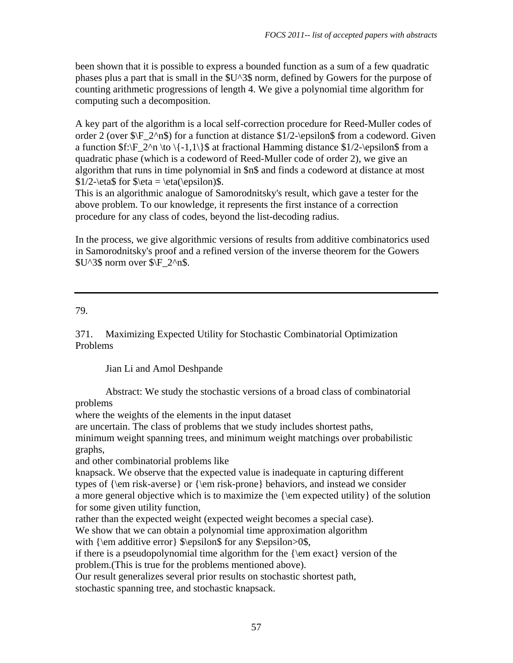been shown that it is possible to express a bounded function as a sum of a few quadratic phases plus a part that is small in the \$U^3\$ norm, defined by Gowers for the purpose of counting arithmetic progressions of length 4. We give a polynomial time algorithm for computing such a decomposition.

A key part of the algorithm is a local self-correction procedure for Reed-Muller codes of order 2 (over  $\F_2^n$ ) for a function at distance  $1/2$ -\epsilon\$ from a codeword. Given a function  $f:\F_2^n \to \{-1,1\}\$  at fractional Hamming distance  $1/2-\epsilon$  from a quadratic phase (which is a codeword of Reed-Muller code of order 2), we give an algorithm that runs in time polynomial in \$n\$ and finds a codeword at distance at most  $$1/2-\eta$ for  $\eta = \eta(\epsilon)$ .$ 

This is an algorithmic analogue of Samorodnitsky's result, which gave a tester for the above problem. To our knowledge, it represents the first instance of a correction procedure for any class of codes, beyond the list-decoding radius.

In the process, we give algorithmic versions of results from additive combinatorics used in Samorodnitsky's proof and a refined version of the inverse theorem for the Gowers  $SU^3\$  norm over  $\F_2^n$ .

# 79.

371. Maximizing Expected Utility for Stochastic Combinatorial Optimization Problems

Jian Li and Amol Deshpande

 Abstract: We study the stochastic versions of a broad class of combinatorial problems

where the weights of the elements in the input dataset

are uncertain. The class of problems that we study includes shortest paths,

minimum weight spanning trees, and minimum weight matchings over probabilistic graphs,

and other combinatorial problems like

knapsack. We observe that the expected value is inadequate in capturing different types of {\em risk-averse} or {\em risk-prone} behaviors, and instead we consider a more general objective which is to maximize the {\em expected utility} of the solution for some given utility function,

rather than the expected weight (expected weight becomes a special case).

We show that we can obtain a polynomial time approximation algorithm

with  $\emph{em additive error} \$ \epsilon for any \\epsilon>0\,

if there is a pseudopolynomial time algorithm for the  $\{\text{em exact}\}$  version of the problem.(This is true for the problems mentioned above).

Our result generalizes several prior results on stochastic shortest path,

stochastic spanning tree, and stochastic knapsack.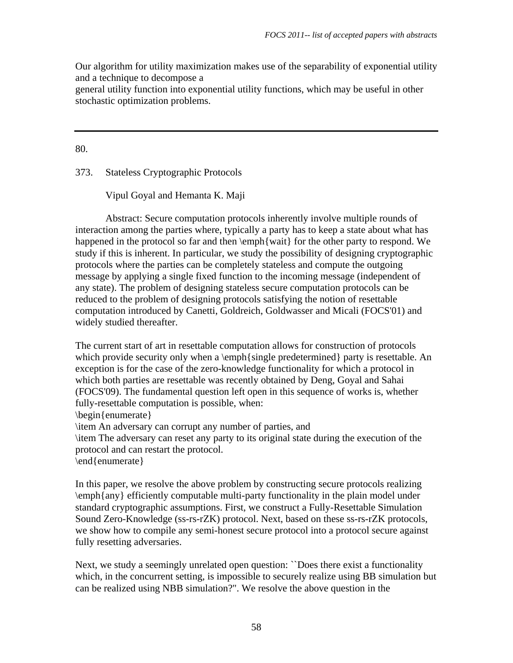Our algorithm for utility maximization makes use of the separability of exponential utility and a technique to decompose a

general utility function into exponential utility functions, which may be useful in other stochastic optimization problems.

80.

373. Stateless Cryptographic Protocols

Vipul Goyal and Hemanta K. Maji

 Abstract: Secure computation protocols inherently involve multiple rounds of interaction among the parties where, typically a party has to keep a state about what has happened in the protocol so far and then  $\emptyset$  wait} for the other party to respond. We study if this is inherent. In particular, we study the possibility of designing cryptographic protocols where the parties can be completely stateless and compute the outgoing message by applying a single fixed function to the incoming message (independent of any state). The problem of designing stateless secure computation protocols can be reduced to the problem of designing protocols satisfying the notion of resettable computation introduced by Canetti, Goldreich, Goldwasser and Micali (FOCS'01) and widely studied thereafter.

The current start of art in resettable computation allows for construction of protocols which provide security only when a \emph{single predetermined} party is resettable. An exception is for the case of the zero-knowledge functionality for which a protocol in which both parties are resettable was recently obtained by Deng, Goyal and Sahai (FOCS'09). The fundamental question left open in this sequence of works is, whether fully-resettable computation is possible, when:

\begin{enumerate}

\item An adversary can corrupt any number of parties, and

\item The adversary can reset any party to its original state during the execution of the protocol and can restart the protocol.

\end{enumerate}

In this paper, we resolve the above problem by constructing secure protocols realizing \emph{any} efficiently computable multi-party functionality in the plain model under standard cryptographic assumptions. First, we construct a Fully-Resettable Simulation Sound Zero-Knowledge (ss-rs-rZK) protocol. Next, based on these ss-rs-rZK protocols, we show how to compile any semi-honest secure protocol into a protocol secure against fully resetting adversaries.

Next, we study a seemingly unrelated open question: ``Does there exist a functionality which, in the concurrent setting, is impossible to securely realize using BB simulation but can be realized using NBB simulation?". We resolve the above question in the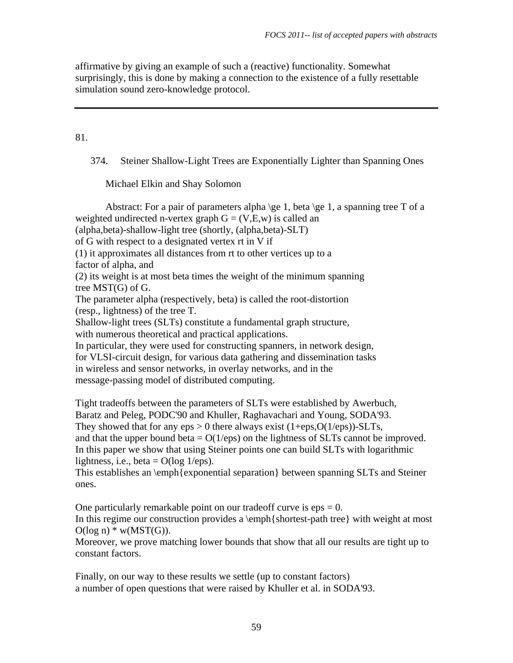affirmative by giving an example of such a (reactive) functionality. Somewhat surprisingly, this is done by making a connection to the existence of a fully resettable simulation sound zero-knowledge protocol.

# 81.

374. Steiner Shallow-Light Trees are Exponentially Lighter than Spanning Ones

Michael Elkin and Shay Solomon

Abstract: For a pair of parameters alpha \ge 1, beta \ge 1, a spanning tree T of a weighted undirected n-vertex graph  $G = (V,E,w)$  is called an (alpha,beta)-shallow-light tree (shortly, (alpha,beta)-SLT) of G with respect to a designated vertex rt in V if (1) it approximates all distances from rt to other vertices up to a factor of alpha, and (2) its weight is at most beta times the weight of the minimum spanning tree MST(G) of G. The parameter alpha (respectively, beta) is called the root-distortion (resp., lightness) of the tree T. Shallow-light trees (SLTs) constitute a fundamental graph structure, with numerous theoretical and practical applications. In particular, they were used for constructing spanners, in network design, for VLSI-circuit design, for various data gathering and dissemination tasks in wireless and sensor networks, in overlay networks, and in the message-passing model of distributed computing. Tight tradeoffs between the parameters of SLTs were established by Awerbuch, Baratz and Peleg, PODC'90 and Khuller, Raghavachari and Young, SODA'93. They showed that for any  $eps > 0$  there always exist  $(1+eps, O(1/eps))$ -SLTs, and that the upper bound beta  $= O(1/\epsilon ps)$  on the lightness of SLTs cannot be improved.

In this paper we show that using Steiner points one can build SLTs with logarithmic lightness, i.e., beta =  $O(log 1/eps)$ .

This establishes an \emph{exponential separation} between spanning SLTs and Steiner ones.

One particularly remarkable point on our tradeoff curve is  $eps = 0$ . In this regime our construction provides a \emph{shortest-path tree} with weight at most  $O(log n) * w(MST(G)).$ 

Moreover, we prove matching lower bounds that show that all our results are tight up to constant factors.

Finally, on our way to these results we settle (up to constant factors) a number of open questions that were raised by Khuller et al. in SODA'93.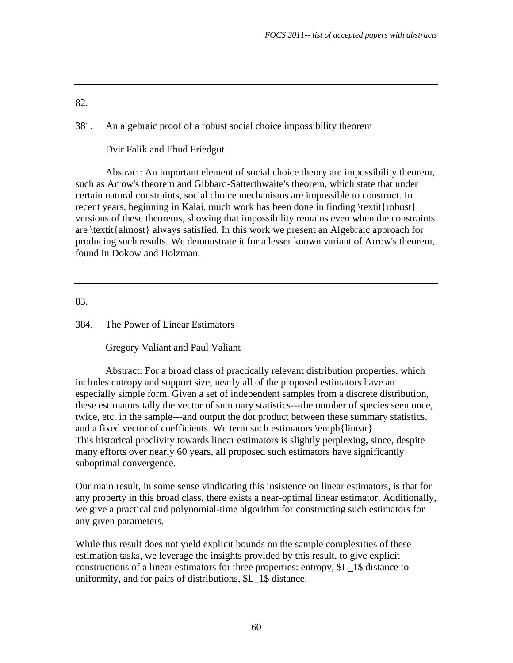381. An algebraic proof of a robust social choice impossibility theorem

Dvir Falik and Ehud Friedgut

 Abstract: An important element of social choice theory are impossibility theorem, such as Arrow's theorem and Gibbard-Satterthwaite's theorem, which state that under certain natural constraints, social choice mechanisms are impossible to construct. In recent years, beginning in Kalai, much work has been done in finding \textit{robust} versions of these theorems, showing that impossibility remains even when the constraints are \textit{almost} always satisfied. In this work we present an Algebraic approach for producing such results. We demonstrate it for a lesser known variant of Arrow's theorem, found in Dokow and Holzman.

83.

384. The Power of Linear Estimators

Gregory Valiant and Paul Valiant

 Abstract: For a broad class of practically relevant distribution properties, which includes entropy and support size, nearly all of the proposed estimators have an especially simple form. Given a set of independent samples from a discrete distribution, these estimators tally the vector of summary statistics---the number of species seen once, twice, etc. in the sample---and output the dot product between these summary statistics, and a fixed vector of coefficients. We term such estimators \emph{linear}. This historical proclivity towards linear estimators is slightly perplexing, since, despite many efforts over nearly 60 years, all proposed such estimators have significantly suboptimal convergence.

Our main result, in some sense vindicating this insistence on linear estimators, is that for any property in this broad class, there exists a near-optimal linear estimator. Additionally, we give a practical and polynomial-time algorithm for constructing such estimators for any given parameters.

While this result does not yield explicit bounds on the sample complexities of these estimation tasks, we leverage the insights provided by this result, to give explicit constructions of a linear estimators for three properties: entropy, \$L\_1\$ distance to uniformity, and for pairs of distributions, \$L\_1\$ distance.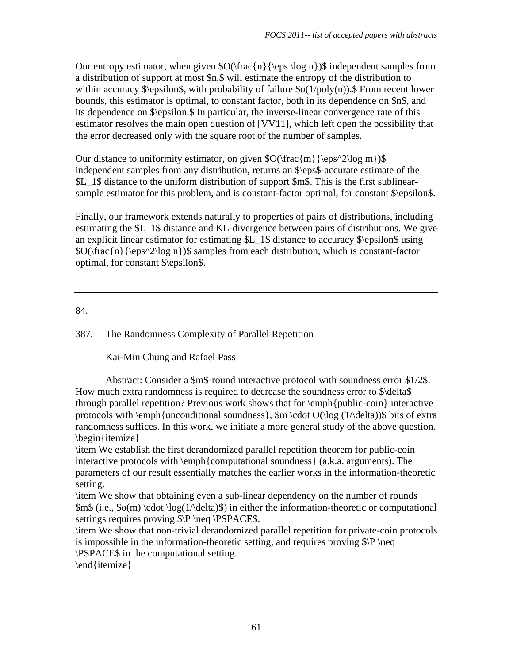Our entropy estimator, when given  $\mathcal{O}(\frac{n}{\epsilon} \log n)$  independent samples from a distribution of support at most \$n,\$ will estimate the entropy of the distribution to within accuracy  $\epsilon, with probability of failure \s0(1/poly(n)).$  From recent lower bounds, this estimator is optimal, to constant factor, both in its dependence on \$n\$, and its dependence on \$\epsilon.\$ In particular, the inverse-linear convergence rate of this estimator resolves the main open question of [VV11], which left open the possibility that the error decreased only with the square root of the number of samples.

Our distance to uniformity estimator, on given  $\O(\frac{m}{\epsilon}\$ independent samples from any distribution, returns an \$\eps\$-accurate estimate of the \$L\_1\$ distance to the uniform distribution of support \$m\$. This is the first sublinearsample estimator for this problem, and is constant-factor optimal, for constant  $\epsilon$  epsilon\$.

Finally, our framework extends naturally to properties of pairs of distributions, including estimating the \$L\_1\$ distance and KL-divergence between pairs of distributions. We give an explicit linear estimator for estimating \$L\_1\$ distance to accuracy \$\epsilon\$ using \$O(\frac{n}{\eps^2\log n})\$ samples from each distribution, which is constant-factor optimal, for constant \$\epsilon\$.

84.

387. The Randomness Complexity of Parallel Repetition

Kai-Min Chung and Rafael Pass

 Abstract: Consider a \$m\$-round interactive protocol with soundness error \$1/2\$. How much extra randomness is required to decrease the soundness error to \$\delta\$ through parallel repetition? Previous work shows that for \emph{public-coin} interactive protocols with  $\emph{unconditional soundness}$ ,  $\emph{Sm} \cdot \text{O}(\log (1/\delta))$  bits of extra randomness suffices. In this work, we initiate a more general study of the above question. \begin{itemize}

\item We establish the first derandomized parallel repetition theorem for public-coin interactive protocols with \emph{computational soundness} (a.k.a. arguments). The parameters of our result essentially matches the earlier works in the information-theoretic setting.

\item We show that obtaining even a sub-linear dependency on the number of rounds  $\mathfrak{Sm}\$  (i.e.,  $\mathfrak{so}(m) \cdot \cdot \cdot \cdot \cdot \cdot$ ) in either the information-theoretic or computational settings requires proving  $\PP \neq \PSPACES$ .

\item We show that non-trivial derandomized parallel repetition for private-coin protocols is impossible in the information-theoretic setting, and requires proving  $\P\neq\P$ \PSPACE\$ in the computational setting.

\end{itemize}